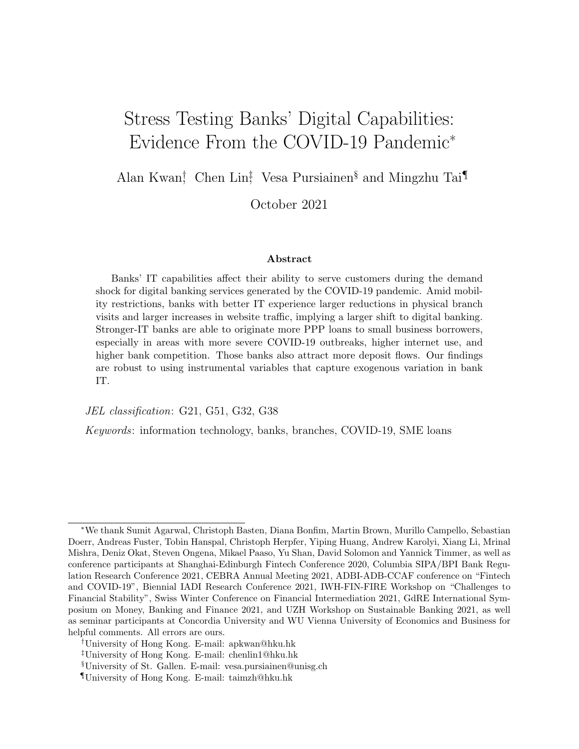# Stress Testing Banks' Digital Capabilities: Evidence From the COVID-19 Pandemic<sup>∗</sup>

Alan Kwan<sup>†</sup>, Chen Lin<sup>‡</sup>, Vesa Pursiainen<sup>§</sup> and Mingzhu Tai<sup>¶</sup>

October 2021

#### Abstract

Banks' IT capabilities affect their ability to serve customers during the demand shock for digital banking services generated by the COVID-19 pandemic. Amid mobility restrictions, banks with better IT experience larger reductions in physical branch visits and larger increases in website traffic, implying a larger shift to digital banking. Stronger-IT banks are able to originate more PPP loans to small business borrowers, especially in areas with more severe COVID-19 outbreaks, higher internet use, and higher bank competition. Those banks also attract more deposit flows. Our findings are robust to using instrumental variables that capture exogenous variation in bank IT.

JEL classification: G21, G51, G32, G38

Keywords: information technology, banks, branches, COVID-19, SME loans

<sup>∗</sup>We thank Sumit Agarwal, Christoph Basten, Diana Bonfim, Martin Brown, Murillo Campello, Sebastian Doerr, Andreas Fuster, Tobin Hanspal, Christoph Herpfer, Yiping Huang, Andrew Karolyi, Xiang Li, Mrinal Mishra, Deniz Okat, Steven Ongena, Mikael Paaso, Yu Shan, David Solomon and Yannick Timmer, as well as conference participants at Shanghai-Edinburgh Fintech Conference 2020, Columbia SIPA/BPI Bank Regulation Research Conference 2021, CEBRA Annual Meeting 2021, ADBI-ADB-CCAF conference on "Fintech and COVID-19", Biennial IADI Research Conference 2021, IWH-FIN-FIRE Workshop on "Challenges to Financial Stability", Swiss Winter Conference on Financial Intermediation 2021, GdRE International Symposium on Money, Banking and Finance 2021, and UZH Workshop on Sustainable Banking 2021, as well as seminar participants at Concordia University and WU Vienna University of Economics and Business for helpful comments. All errors are ours.

<sup>†</sup>University of Hong Kong. E-mail: apkwan@hku.hk

<sup>‡</sup>University of Hong Kong. E-mail: chenlin1@hku.hk

<sup>§</sup>University of St. Gallen. E-mail: vesa.pursiainen@unisg.ch

<sup>¶</sup>University of Hong Kong. E-mail: taimzh@hku.hk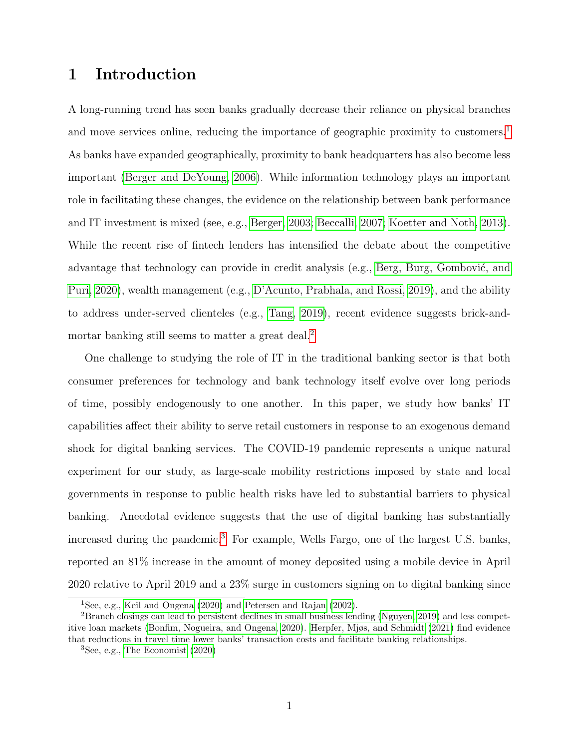## 1 Introduction

A long-running trend has seen banks gradually decrease their reliance on physical branches and move services online, reducing the importance of geographic proximity to customers.<sup>[1](#page-1-0)</sup> As banks have expanded geographically, proximity to bank headquarters has also become less important [\(Berger and DeYoung, 2006\)](#page-31-0). While information technology plays an important role in facilitating these changes, the evidence on the relationship between bank performance and IT investment is mixed (see, e.g., [Berger, 2003;](#page-31-1) [Beccalli, 2007;](#page-31-2) [Koetter and Noth, 2013\)](#page-33-0). While the recent rise of fintech lenders has intensified the debate about the competitive advantage that technology can provide in credit analysis (e.g., Berg, Burg, Gombović, and [Puri, 2020\)](#page-31-3), wealth management (e.g., [D'Acunto, Prabhala, and Rossi, 2019\)](#page-32-0), and the ability to address under-served clienteles (e.g., [Tang, 2019\)](#page-34-0), recent evidence suggests brick-and-mortar banking still seems to matter a great deal.<sup>[2](#page-1-1)</sup>

One challenge to studying the role of IT in the traditional banking sector is that both consumer preferences for technology and bank technology itself evolve over long periods of time, possibly endogenously to one another. In this paper, we study how banks' IT capabilities affect their ability to serve retail customers in response to an exogenous demand shock for digital banking services. The COVID-19 pandemic represents a unique natural experiment for our study, as large-scale mobility restrictions imposed by state and local governments in response to public health risks have led to substantial barriers to physical banking. Anecdotal evidence suggests that the use of digital banking has substantially increased during the pandemic.<sup>[3](#page-1-2)</sup> For example, Wells Fargo, one of the largest U.S. banks, reported an 81% increase in the amount of money deposited using a mobile device in April 2020 relative to April 2019 and a 23% surge in customers signing on to digital banking since

<span id="page-1-1"></span><span id="page-1-0"></span><sup>1</sup>See, e.g., [Keil and Ongena](#page-33-1) [\(2020\)](#page-33-1) and [Petersen and Rajan](#page-34-1) [\(2002\)](#page-34-1).

<sup>2</sup>Branch closings can lead to persistent declines in small business lending [\(Nguyen, 2019\)](#page-34-2) and less competitive loan markets [\(Bonfim, Nogueira, and Ongena, 2020\)](#page-31-4). [Herpfer, Mjøs, and Schmidt](#page-33-2) [\(2021\)](#page-33-2) find evidence that reductions in travel time lower banks' transaction costs and facilitate banking relationships.

<span id="page-1-2"></span> ${}^{3}$ See, e.g., [The Economist](#page-34-3) [\(2020\)](#page-34-3)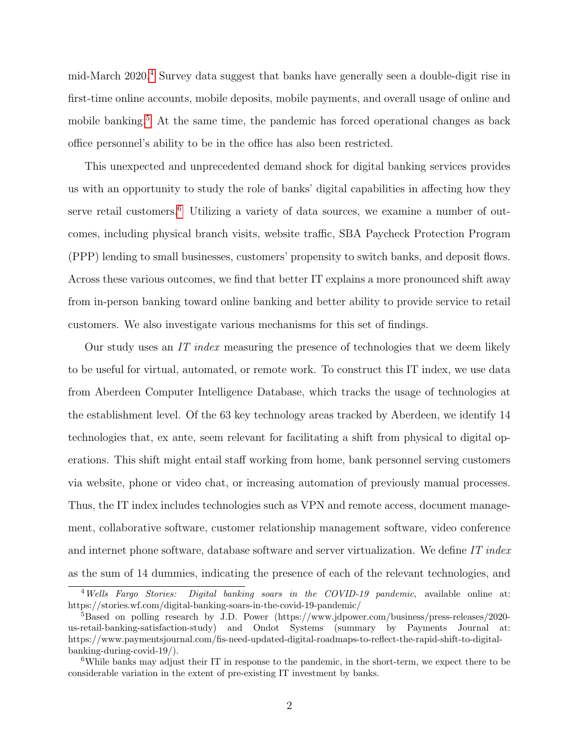mid-March 2020.[4](#page-2-0) Survey data suggest that banks have generally seen a double-digit rise in first-time online accounts, mobile deposits, mobile payments, and overall usage of online and mobile banking.<sup>[5](#page-2-1)</sup> At the same time, the pandemic has forced operational changes as back office personnel's ability to be in the office has also been restricted.

This unexpected and unprecedented demand shock for digital banking services provides us with an opportunity to study the role of banks' digital capabilities in affecting how they serve retail customers.<sup>[6](#page-2-2)</sup> Utilizing a variety of data sources, we examine a number of outcomes, including physical branch visits, website traffic, SBA Paycheck Protection Program (PPP) lending to small businesses, customers' propensity to switch banks, and deposit flows. Across these various outcomes, we find that better IT explains a more pronounced shift away from in-person banking toward online banking and better ability to provide service to retail customers. We also investigate various mechanisms for this set of findings.

Our study uses an IT index measuring the presence of technologies that we deem likely to be useful for virtual, automated, or remote work. To construct this IT index, we use data from Aberdeen Computer Intelligence Database, which tracks the usage of technologies at the establishment level. Of the 63 key technology areas tracked by Aberdeen, we identify 14 technologies that, ex ante, seem relevant for facilitating a shift from physical to digital operations. This shift might entail staff working from home, bank personnel serving customers via website, phone or video chat, or increasing automation of previously manual processes. Thus, the IT index includes technologies such as VPN and remote access, document management, collaborative software, customer relationship management software, video conference and internet phone software, database software and server virtualization. We define IT index as the sum of 14 dummies, indicating the presence of each of the relevant technologies, and

<span id="page-2-0"></span><sup>&</sup>lt;sup>4</sup> Wells Fargo Stories: Digital banking soars in the COVID-19 pandemic, available online at: https://stories.wf.com/digital-banking-soars-in-the-covid-19-pandemic/

<span id="page-2-1"></span><sup>5</sup>Based on polling research by J.D. Power (https://www.jdpower.com/business/press-releases/2020 us-retail-banking-satisfaction-study) and Ondot Systems (summary by Payments Journal at: https://www.paymentsjournal.com/fis-need-updated-digital-roadmaps-to-reflect-the-rapid-shift-to-digitalbanking-during-covid-19/).

<span id="page-2-2"></span><sup>6</sup>While banks may adjust their IT in response to the pandemic, in the short-term, we expect there to be considerable variation in the extent of pre-existing IT investment by banks.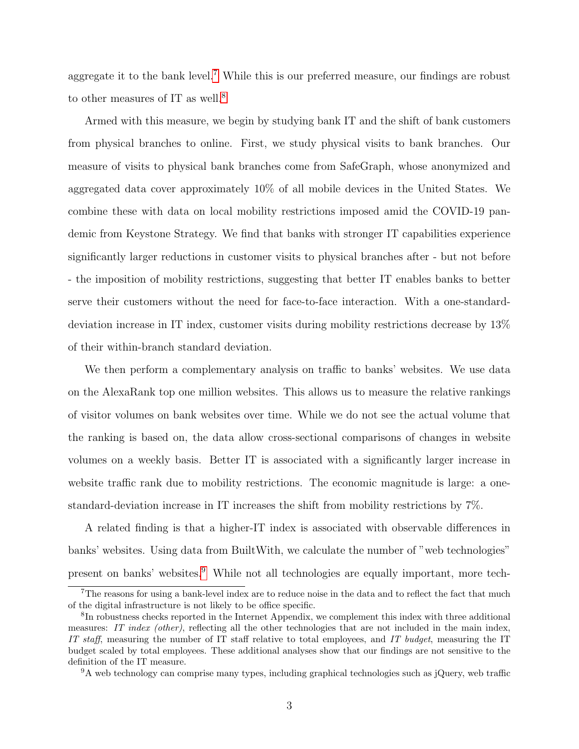aggregate it to the bank level.<sup>[7](#page-3-0)</sup> While this is our preferred measure, our findings are robust to other measures of IT as well.<sup>[8](#page-3-1)</sup>

Armed with this measure, we begin by studying bank IT and the shift of bank customers from physical branches to online. First, we study physical visits to bank branches. Our measure of visits to physical bank branches come from SafeGraph, whose anonymized and aggregated data cover approximately 10% of all mobile devices in the United States. We combine these with data on local mobility restrictions imposed amid the COVID-19 pandemic from Keystone Strategy. We find that banks with stronger IT capabilities experience significantly larger reductions in customer visits to physical branches after - but not before - the imposition of mobility restrictions, suggesting that better IT enables banks to better serve their customers without the need for face-to-face interaction. With a one-standarddeviation increase in IT index, customer visits during mobility restrictions decrease by 13% of their within-branch standard deviation.

We then perform a complementary analysis on traffic to banks' websites. We use data on the AlexaRank top one million websites. This allows us to measure the relative rankings of visitor volumes on bank websites over time. While we do not see the actual volume that the ranking is based on, the data allow cross-sectional comparisons of changes in website volumes on a weekly basis. Better IT is associated with a significantly larger increase in website traffic rank due to mobility restrictions. The economic magnitude is large: a onestandard-deviation increase in IT increases the shift from mobility restrictions by 7%.

A related finding is that a higher-IT index is associated with observable differences in banks' websites. Using data from BuiltWith, we calculate the number of "web technologies" present on banks' websites.[9](#page-3-2) While not all technologies are equally important, more tech-

<span id="page-3-0"></span><sup>&</sup>lt;sup>7</sup>The reasons for using a bank-level index are to reduce noise in the data and to reflect the fact that much of the digital infrastructure is not likely to be office specific.

<span id="page-3-1"></span><sup>8</sup> In robustness checks reported in the Internet Appendix, we complement this index with three additional measures: IT index (other), reflecting all the other technologies that are not included in the main index, IT staff, measuring the number of IT staff relative to total employees, and IT budget, measuring the IT budget scaled by total employees. These additional analyses show that our findings are not sensitive to the definition of the IT measure.

<span id="page-3-2"></span><sup>9</sup>A web technology can comprise many types, including graphical technologies such as jQuery, web traffic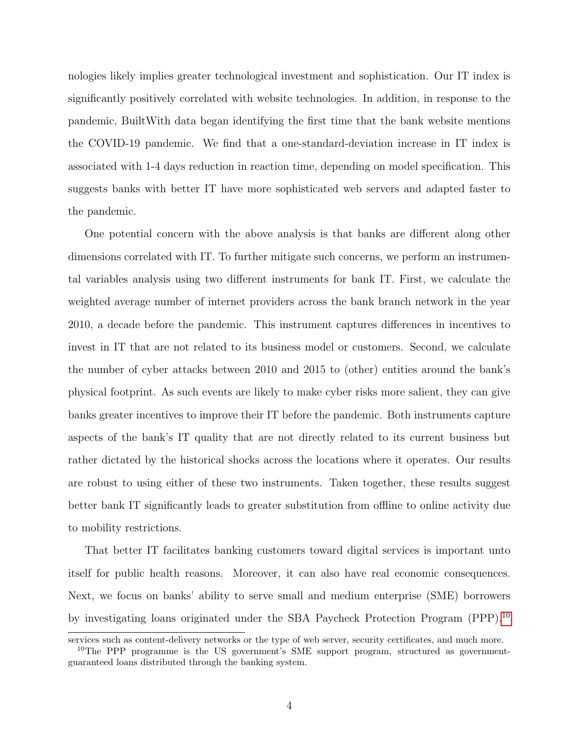nologies likely implies greater technological investment and sophistication. Our IT index is significantly positively correlated with website technologies. In addition, in response to the pandemic, BuiltWith data began identifying the first time that the bank website mentions the COVID-19 pandemic. We find that a one-standard-deviation increase in IT index is associated with 1-4 days reduction in reaction time, depending on model specification. This suggests banks with better IT have more sophisticated web servers and adapted faster to the pandemic.

One potential concern with the above analysis is that banks are different along other dimensions correlated with IT. To further mitigate such concerns, we perform an instrumental variables analysis using two different instruments for bank IT. First, we calculate the weighted average number of internet providers across the bank branch network in the year 2010, a decade before the pandemic. This instrument captures differences in incentives to invest in IT that are not related to its business model or customers. Second, we calculate the number of cyber attacks between 2010 and 2015 to (other) entities around the bank's physical footprint. As such events are likely to make cyber risks more salient, they can give banks greater incentives to improve their IT before the pandemic. Both instruments capture aspects of the bank's IT quality that are not directly related to its current business but rather dictated by the historical shocks across the locations where it operates. Our results are robust to using either of these two instruments. Taken together, these results suggest better bank IT significantly leads to greater substitution from offline to online activity due to mobility restrictions.

That better IT facilitates banking customers toward digital services is important unto itself for public health reasons. Moreover, it can also have real economic consequences. Next, we focus on banks' ability to serve small and medium enterprise (SME) borrowers by investigating loans originated under the SBA Paycheck Protection Program (PPP).[10](#page-4-0)

services such as content-delivery networks or the type of web server, security certificates, and much more.

<span id="page-4-0"></span><sup>&</sup>lt;sup>10</sup>The PPP programme is the US government's SME support program, structured as governmentguaranteed loans distributed through the banking system.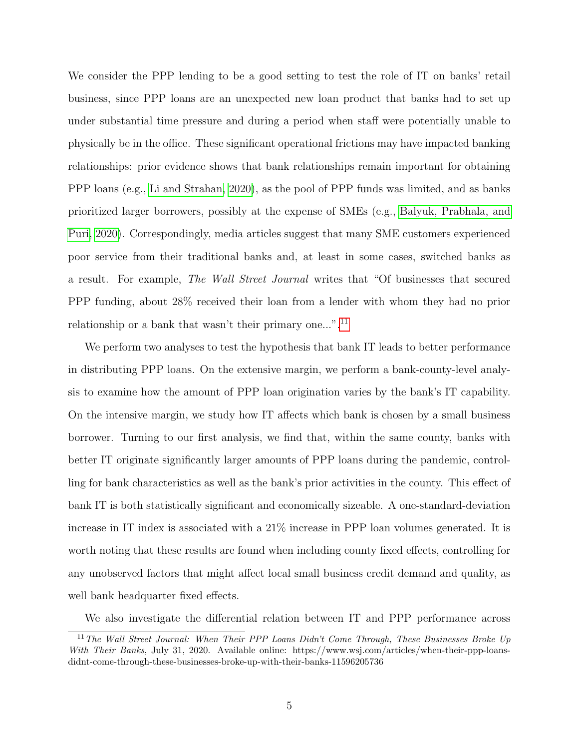We consider the PPP lending to be a good setting to test the role of IT on banks' retail business, since PPP loans are an unexpected new loan product that banks had to set up under substantial time pressure and during a period when staff were potentially unable to physically be in the office. These significant operational frictions may have impacted banking relationships: prior evidence shows that bank relationships remain important for obtaining PPP loans (e.g., [Li and Strahan, 2020\)](#page-33-3), as the pool of PPP funds was limited, and as banks prioritized larger borrowers, possibly at the expense of SMEs (e.g., [Balyuk, Prabhala, and](#page-30-0) [Puri, 2020\)](#page-30-0). Correspondingly, media articles suggest that many SME customers experienced poor service from their traditional banks and, at least in some cases, switched banks as a result. For example, The Wall Street Journal writes that "Of businesses that secured PPP funding, about 28% received their loan from a lender with whom they had no prior relationship or a bank that wasn't their primary one...".<sup>[11](#page-5-0)</sup>

We perform two analyses to test the hypothesis that bank IT leads to better performance in distributing PPP loans. On the extensive margin, we perform a bank-county-level analysis to examine how the amount of PPP loan origination varies by the bank's IT capability. On the intensive margin, we study how IT affects which bank is chosen by a small business borrower. Turning to our first analysis, we find that, within the same county, banks with better IT originate significantly larger amounts of PPP loans during the pandemic, controlling for bank characteristics as well as the bank's prior activities in the county. This effect of bank IT is both statistically significant and economically sizeable. A one-standard-deviation increase in IT index is associated with a 21% increase in PPP loan volumes generated. It is worth noting that these results are found when including county fixed effects, controlling for any unobserved factors that might affect local small business credit demand and quality, as well bank headquarter fixed effects.

<span id="page-5-0"></span>We also investigate the differential relation between IT and PPP performance across

 $11$ <sup>11</sup> The Wall Street Journal: When Their PPP Loans Didn't Come Through, These Businesses Broke Up With Their Banks, July 31, 2020. Available online: https://www.wsj.com/articles/when-their-ppp-loansdidnt-come-through-these-businesses-broke-up-with-their-banks-11596205736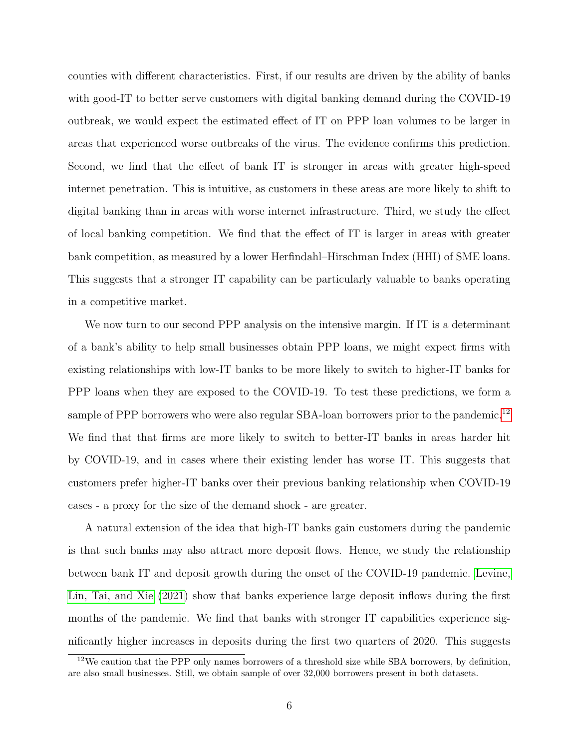counties with different characteristics. First, if our results are driven by the ability of banks with good-IT to better serve customers with digital banking demand during the COVID-19 outbreak, we would expect the estimated effect of IT on PPP loan volumes to be larger in areas that experienced worse outbreaks of the virus. The evidence confirms this prediction. Second, we find that the effect of bank IT is stronger in areas with greater high-speed internet penetration. This is intuitive, as customers in these areas are more likely to shift to digital banking than in areas with worse internet infrastructure. Third, we study the effect of local banking competition. We find that the effect of IT is larger in areas with greater bank competition, as measured by a lower Herfindahl–Hirschman Index (HHI) of SME loans. This suggests that a stronger IT capability can be particularly valuable to banks operating in a competitive market.

We now turn to our second PPP analysis on the intensive margin. If IT is a determinant of a bank's ability to help small businesses obtain PPP loans, we might expect firms with existing relationships with low-IT banks to be more likely to switch to higher-IT banks for PPP loans when they are exposed to the COVID-19. To test these predictions, we form a sample of PPP borrowers who were also regular SBA-loan borrowers prior to the pandemic.<sup>[12](#page-6-0)</sup> We find that that firms are more likely to switch to better-IT banks in areas harder hit by COVID-19, and in cases where their existing lender has worse IT. This suggests that customers prefer higher-IT banks over their previous banking relationship when COVID-19 cases - a proxy for the size of the demand shock - are greater.

A natural extension of the idea that high-IT banks gain customers during the pandemic is that such banks may also attract more deposit flows. Hence, we study the relationship between bank IT and deposit growth during the onset of the COVID-19 pandemic. [Levine,](#page-33-4) [Lin, Tai, and Xie](#page-33-4) [\(2021\)](#page-33-4) show that banks experience large deposit inflows during the first months of the pandemic. We find that banks with stronger IT capabilities experience significantly higher increases in deposits during the first two quarters of 2020. This suggests

<span id="page-6-0"></span> $12$ We caution that the PPP only names borrowers of a threshold size while SBA borrowers, by definition, are also small businesses. Still, we obtain sample of over 32,000 borrowers present in both datasets.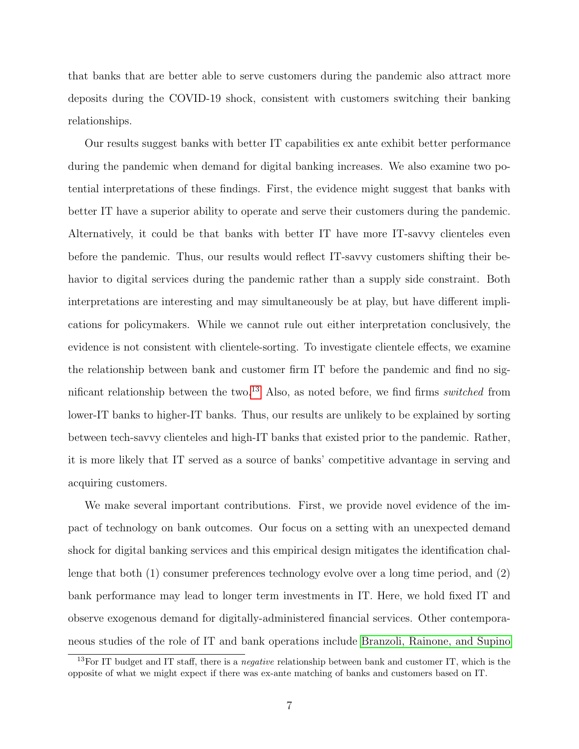that banks that are better able to serve customers during the pandemic also attract more deposits during the COVID-19 shock, consistent with customers switching their banking relationships.

Our results suggest banks with better IT capabilities ex ante exhibit better performance during the pandemic when demand for digital banking increases. We also examine two potential interpretations of these findings. First, the evidence might suggest that banks with better IT have a superior ability to operate and serve their customers during the pandemic. Alternatively, it could be that banks with better IT have more IT-savvy clienteles even before the pandemic. Thus, our results would reflect IT-savvy customers shifting their behavior to digital services during the pandemic rather than a supply side constraint. Both interpretations are interesting and may simultaneously be at play, but have different implications for policymakers. While we cannot rule out either interpretation conclusively, the evidence is not consistent with clientele-sorting. To investigate clientele effects, we examine the relationship between bank and customer firm IT before the pandemic and find no sig-nificant relationship between the two.<sup>[13](#page-7-0)</sup> Also, as noted before, we find firms *switched* from lower-IT banks to higher-IT banks. Thus, our results are unlikely to be explained by sorting between tech-savvy clienteles and high-IT banks that existed prior to the pandemic. Rather, it is more likely that IT served as a source of banks' competitive advantage in serving and acquiring customers.

We make several important contributions. First, we provide novel evidence of the impact of technology on bank outcomes. Our focus on a setting with an unexpected demand shock for digital banking services and this empirical design mitigates the identification challenge that both (1) consumer preferences technology evolve over a long time period, and (2) bank performance may lead to longer term investments in IT. Here, we hold fixed IT and observe exogenous demand for digitally-administered financial services. Other contemporaneous studies of the role of IT and bank operations include [Branzoli, Rainone, and Supino](#page-31-5)

<span id="page-7-0"></span><sup>&</sup>lt;sup>13</sup>For IT budget and IT staff, there is a *negative* relationship between bank and customer IT, which is the opposite of what we might expect if there was ex-ante matching of banks and customers based on IT.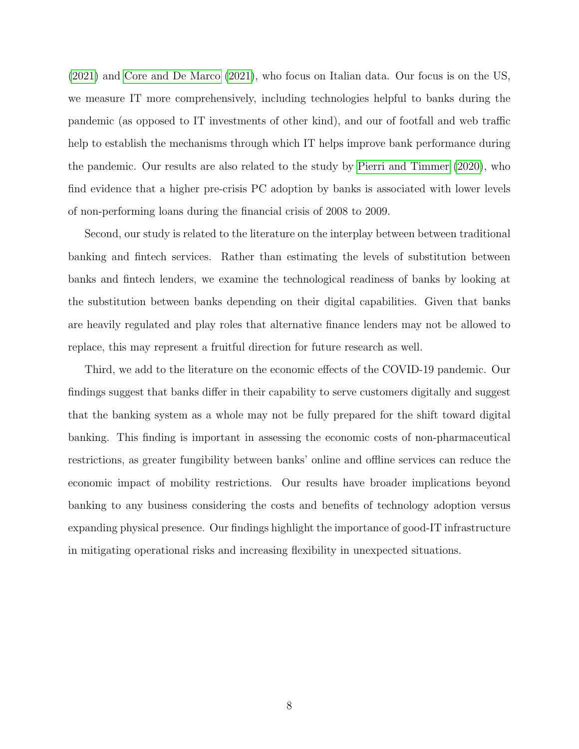[\(2021\)](#page-31-5) and [Core and De Marco](#page-32-1) [\(2021\)](#page-32-1), who focus on Italian data. Our focus is on the US, we measure IT more comprehensively, including technologies helpful to banks during the pandemic (as opposed to IT investments of other kind), and our of footfall and web traffic help to establish the mechanisms through which IT helps improve bank performance during the pandemic. Our results are also related to the study by [Pierri and Timmer](#page-34-4) [\(2020\)](#page-34-4), who find evidence that a higher pre-crisis PC adoption by banks is associated with lower levels of non-performing loans during the financial crisis of 2008 to 2009.

Second, our study is related to the literature on the interplay between between traditional banking and fintech services. Rather than estimating the levels of substitution between banks and fintech lenders, we examine the technological readiness of banks by looking at the substitution between banks depending on their digital capabilities. Given that banks are heavily regulated and play roles that alternative finance lenders may not be allowed to replace, this may represent a fruitful direction for future research as well.

Third, we add to the literature on the economic effects of the COVID-19 pandemic. Our findings suggest that banks differ in their capability to serve customers digitally and suggest that the banking system as a whole may not be fully prepared for the shift toward digital banking. This finding is important in assessing the economic costs of non-pharmaceutical restrictions, as greater fungibility between banks' online and offline services can reduce the economic impact of mobility restrictions. Our results have broader implications beyond banking to any business considering the costs and benefits of technology adoption versus expanding physical presence. Our findings highlight the importance of good-IT infrastructure in mitigating operational risks and increasing flexibility in unexpected situations.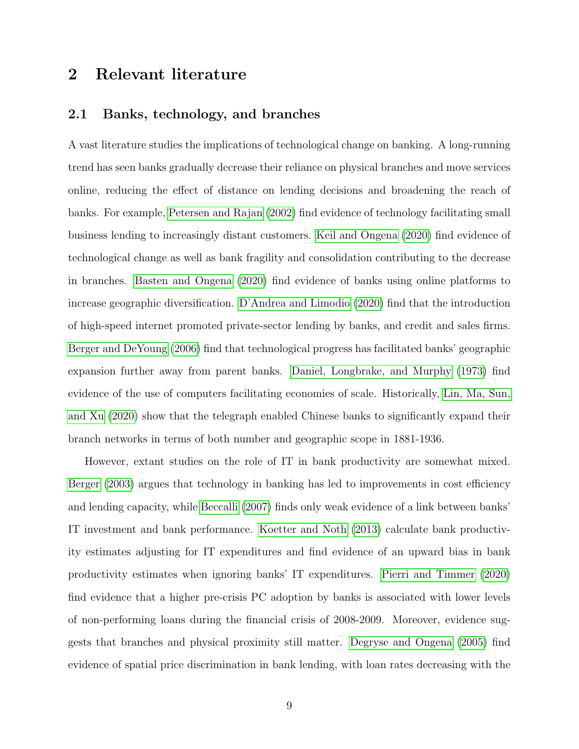## 2 Relevant literature

## 2.1 Banks, technology, and branches

A vast literature studies the implications of technological change on banking. A long-running trend has seen banks gradually decrease their reliance on physical branches and move services online, reducing the effect of distance on lending decisions and broadening the reach of banks. For example, [Petersen and Rajan](#page-34-1) [\(2002\)](#page-34-1) find evidence of technology facilitating small business lending to increasingly distant customers. [Keil and Ongena](#page-33-1) [\(2020\)](#page-33-1) find evidence of technological change as well as bank fragility and consolidation contributing to the decrease in branches. [Basten and Ongena](#page-31-6) [\(2020\)](#page-31-6) find evidence of banks using online platforms to increase geographic diversification. [D'Andrea and Limodio](#page-32-2) [\(2020\)](#page-32-2) find that the introduction of high-speed internet promoted private-sector lending by banks, and credit and sales firms. [Berger and DeYoung](#page-31-0) [\(2006\)](#page-31-0) find that technological progress has facilitated banks' geographic expansion further away from parent banks. [Daniel, Longbrake, and Murphy](#page-32-3) [\(1973\)](#page-32-3) find evidence of the use of computers facilitating economies of scale. Historically, [Lin, Ma, Sun,](#page-33-5) [and Xu](#page-33-5) [\(2020\)](#page-33-5) show that the telegraph enabled Chinese banks to significantly expand their branch networks in terms of both number and geographic scope in 1881-1936.

However, extant studies on the role of IT in bank productivity are somewhat mixed. [Berger](#page-31-1) [\(2003\)](#page-31-1) argues that technology in banking has led to improvements in cost efficiency and lending capacity, while [Beccalli](#page-31-2) [\(2007\)](#page-31-2) finds only weak evidence of a link between banks' IT investment and bank performance. [Koetter and Noth](#page-33-0) [\(2013\)](#page-33-0) calculate bank productivity estimates adjusting for IT expenditures and find evidence of an upward bias in bank productivity estimates when ignoring banks' IT expenditures. [Pierri and Timmer](#page-34-4) [\(2020\)](#page-34-4) find evidence that a higher pre-crisis PC adoption by banks is associated with lower levels of non-performing loans during the financial crisis of 2008-2009. Moreover, evidence suggests that branches and physical proximity still matter. [Degryse and Ongena](#page-32-4) [\(2005\)](#page-32-4) find evidence of spatial price discrimination in bank lending, with loan rates decreasing with the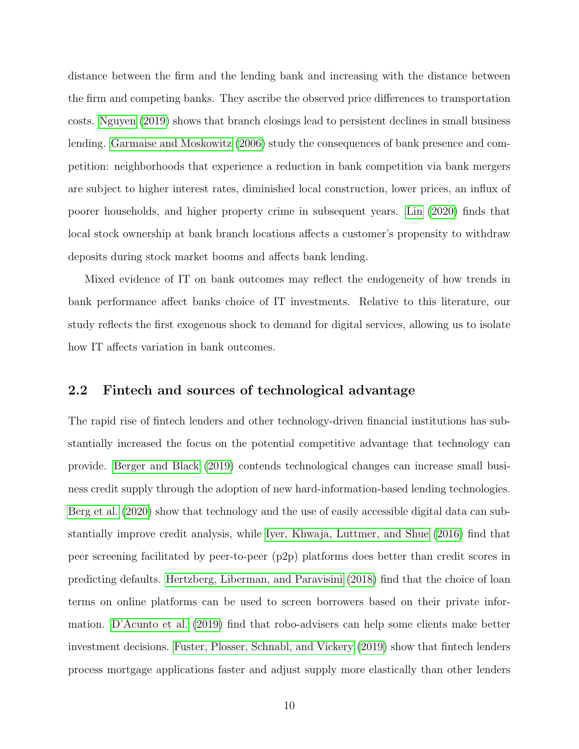distance between the firm and the lending bank and increasing with the distance between the firm and competing banks. They ascribe the observed price differences to transportation costs. [Nguyen](#page-34-2) [\(2019\)](#page-34-2) shows that branch closings lead to persistent declines in small business lending. [Garmaise and Moskowitz](#page-32-5) [\(2006\)](#page-32-5) study the consequences of bank presence and competition: neighborhoods that experience a reduction in bank competition via bank mergers are subject to higher interest rates, diminished local construction, lower prices, an influx of poorer households, and higher property crime in subsequent years. [Lin](#page-33-6) [\(2020\)](#page-33-6) finds that local stock ownership at bank branch locations affects a customer's propensity to withdraw deposits during stock market booms and affects bank lending.

Mixed evidence of IT on bank outcomes may reflect the endogeneity of how trends in bank performance affect banks choice of IT investments. Relative to this literature, our study reflects the first exogenous shock to demand for digital services, allowing us to isolate how IT affects variation in bank outcomes.

## 2.2 Fintech and sources of technological advantage

The rapid rise of fintech lenders and other technology-driven financial institutions has substantially increased the focus on the potential competitive advantage that technology can provide. [Berger and Black](#page-31-7) [\(2019\)](#page-31-7) contends technological changes can increase small business credit supply through the adoption of new hard-information-based lending technologies. [Berg et al.](#page-31-3) [\(2020\)](#page-31-3) show that technology and the use of easily accessible digital data can substantially improve credit analysis, while [Iyer, Khwaja, Luttmer, and Shue](#page-33-7) [\(2016\)](#page-33-7) find that peer screening facilitated by peer-to-peer (p2p) platforms does better than credit scores in predicting defaults. [Hertzberg, Liberman, and Paravisini](#page-33-8) [\(2018\)](#page-33-8) find that the choice of loan terms on online platforms can be used to screen borrowers based on their private information. [D'Acunto et al.](#page-32-0) [\(2019\)](#page-32-0) find that robo-advisers can help some clients make better investment decisions. [Fuster, Plosser, Schnabl, and Vickery](#page-32-6) [\(2019\)](#page-32-6) show that fintech lenders process mortgage applications faster and adjust supply more elastically than other lenders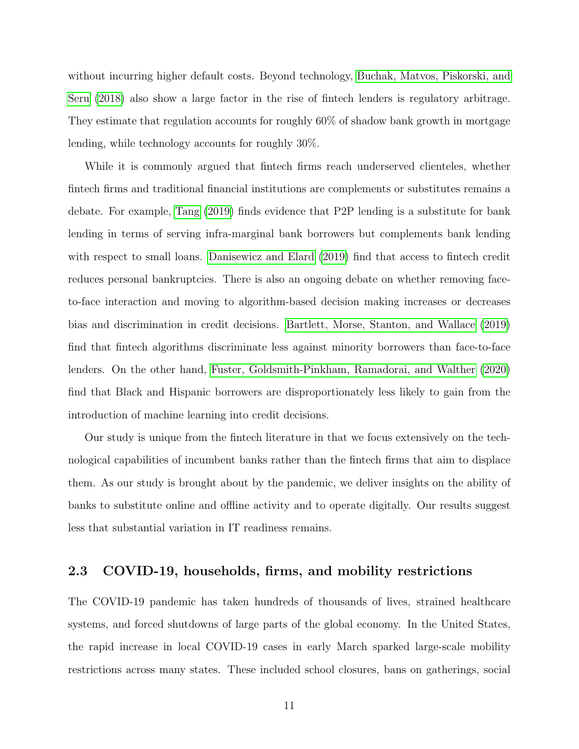without incurring higher default costs. Beyond technology, [Buchak, Matvos, Piskorski, and](#page-31-8) [Seru](#page-31-8) [\(2018\)](#page-31-8) also show a large factor in the rise of fintech lenders is regulatory arbitrage. They estimate that regulation accounts for roughly 60% of shadow bank growth in mortgage lending, while technology accounts for roughly 30%.

While it is commonly argued that fintech firms reach underserved clienteles, whether fintech firms and traditional financial institutions are complements or substitutes remains a debate. For example, [Tang](#page-34-0) [\(2019\)](#page-34-0) finds evidence that P2P lending is a substitute for bank lending in terms of serving infra-marginal bank borrowers but complements bank lending with respect to small loans. [Danisewicz and Elard](#page-32-7) [\(2019\)](#page-32-7) find that access to fintech credit reduces personal bankruptcies. There is also an ongoing debate on whether removing faceto-face interaction and moving to algorithm-based decision making increases or decreases bias and discrimination in credit decisions. [Bartlett, Morse, Stanton, and Wallace](#page-30-1) [\(2019\)](#page-30-1) find that fintech algorithms discriminate less against minority borrowers than face-to-face lenders. On the other hand, [Fuster, Goldsmith-Pinkham, Ramadorai, and Walther](#page-32-8) [\(2020\)](#page-32-8) find that Black and Hispanic borrowers are disproportionately less likely to gain from the introduction of machine learning into credit decisions.

Our study is unique from the fintech literature in that we focus extensively on the technological capabilities of incumbent banks rather than the fintech firms that aim to displace them. As our study is brought about by the pandemic, we deliver insights on the ability of banks to substitute online and offline activity and to operate digitally. Our results suggest less that substantial variation in IT readiness remains.

## 2.3 COVID-19, households, firms, and mobility restrictions

The COVID-19 pandemic has taken hundreds of thousands of lives, strained healthcare systems, and forced shutdowns of large parts of the global economy. In the United States, the rapid increase in local COVID-19 cases in early March sparked large-scale mobility restrictions across many states. These included school closures, bans on gatherings, social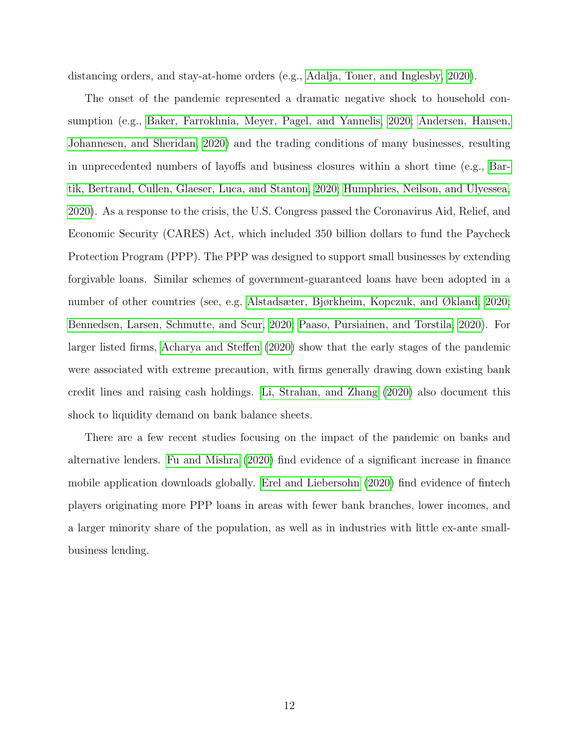distancing orders, and stay-at-home orders (e.g., [Adalja, Toner, and Inglesby, 2020\)](#page-30-2).

The onset of the pandemic represented a dramatic negative shock to household consumption (e.g., [Baker, Farrokhnia, Meyer, Pagel, and Yannelis, 2020;](#page-30-3) [Andersen, Hansen,](#page-30-4) [Johannesen, and Sheridan, 2020\)](#page-30-4) and the trading conditions of many businesses, resulting in unprecedented numbers of layoffs and business closures within a short time (e.g., [Bar](#page-30-5)[tik, Bertrand, Cullen, Glaeser, Luca, and Stanton, 2020;](#page-30-5) [Humphries, Neilson, and Ulyessea,](#page-33-9) [2020\)](#page-33-9). As a response to the crisis, the U.S. Congress passed the Coronavirus Aid, Relief, and Economic Security (CARES) Act, which included 350 billion dollars to fund the Paycheck Protection Program (PPP). The PPP was designed to support small businesses by extending forgivable loans. Similar schemes of government-guaranteed loans have been adopted in a number of other countries (see, e.g. [Alstadsæter, Bjørkheim, Kopczuk, and Økland, 2020;](#page-30-6) [Bennedsen, Larsen, Schmutte, and Scur, 2020;](#page-31-9) [Paaso, Pursiainen, and Torstila, 2020\)](#page-34-5). For larger listed firms, [Acharya and Steffen](#page-30-7) [\(2020\)](#page-30-7) show that the early stages of the pandemic were associated with extreme precaution, with firms generally drawing down existing bank credit lines and raising cash holdings. [Li, Strahan, and Zhang](#page-33-10) [\(2020\)](#page-33-10) also document this shock to liquidity demand on bank balance sheets.

There are a few recent studies focusing on the impact of the pandemic on banks and alternative lenders. [Fu and Mishra](#page-32-9) [\(2020\)](#page-32-9) find evidence of a significant increase in finance mobile application downloads globally. [Erel and Liebersohn](#page-32-10) [\(2020\)](#page-32-10) find evidence of fintech players originating more PPP loans in areas with fewer bank branches, lower incomes, and a larger minority share of the population, as well as in industries with little ex-ante smallbusiness lending.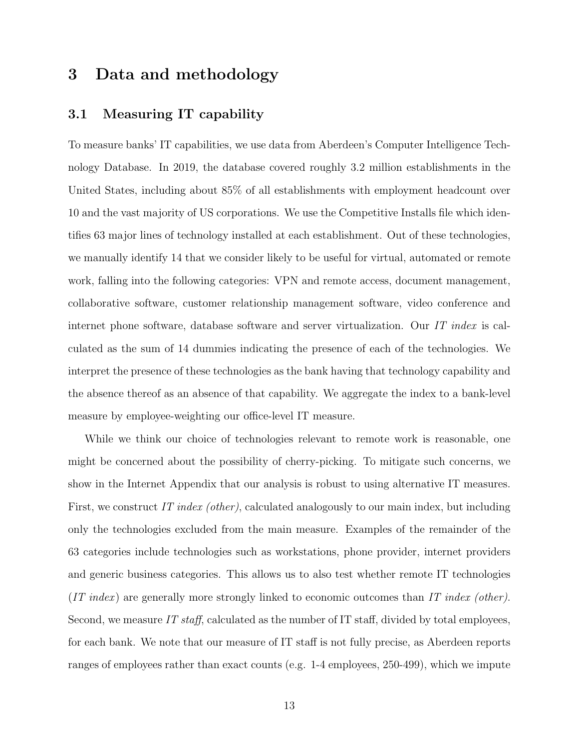## 3 Data and methodology

## 3.1 Measuring IT capability

To measure banks' IT capabilities, we use data from Aberdeen's Computer Intelligence Technology Database. In 2019, the database covered roughly 3.2 million establishments in the United States, including about 85% of all establishments with employment headcount over 10 and the vast majority of US corporations. We use the Competitive Installs file which identifies 63 major lines of technology installed at each establishment. Out of these technologies, we manually identify 14 that we consider likely to be useful for virtual, automated or remote work, falling into the following categories: VPN and remote access, document management, collaborative software, customer relationship management software, video conference and internet phone software, database software and server virtualization. Our IT index is calculated as the sum of 14 dummies indicating the presence of each of the technologies. We interpret the presence of these technologies as the bank having that technology capability and the absence thereof as an absence of that capability. We aggregate the index to a bank-level measure by employee-weighting our office-level IT measure.

While we think our choice of technologies relevant to remote work is reasonable, one might be concerned about the possibility of cherry-picking. To mitigate such concerns, we show in the Internet Appendix that our analysis is robust to using alternative IT measures. First, we construct IT index (other), calculated analogously to our main index, but including only the technologies excluded from the main measure. Examples of the remainder of the 63 categories include technologies such as workstations, phone provider, internet providers and generic business categories. This allows us to also test whether remote IT technologies  $(IT\ index)$  are generally more strongly linked to economic outcomes than IT index (other). Second, we measure IT staff, calculated as the number of IT staff, divided by total employees, for each bank. We note that our measure of IT staff is not fully precise, as Aberdeen reports ranges of employees rather than exact counts (e.g. 1-4 employees, 250-499), which we impute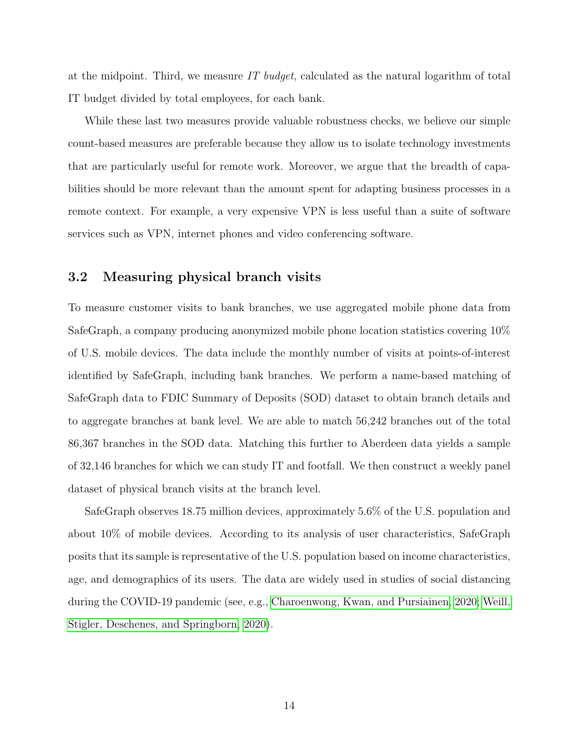at the midpoint. Third, we measure IT budget, calculated as the natural logarithm of total IT budget divided by total employees, for each bank.

While these last two measures provide valuable robustness checks, we believe our simple count-based measures are preferable because they allow us to isolate technology investments that are particularly useful for remote work. Moreover, we argue that the breadth of capabilities should be more relevant than the amount spent for adapting business processes in a remote context. For example, a very expensive VPN is less useful than a suite of software services such as VPN, internet phones and video conferencing software.

## 3.2 Measuring physical branch visits

To measure customer visits to bank branches, we use aggregated mobile phone data from SafeGraph, a company producing anonymized mobile phone location statistics covering 10% of U.S. mobile devices. The data include the monthly number of visits at points-of-interest identified by SafeGraph, including bank branches. We perform a name-based matching of SafeGraph data to FDIC Summary of Deposits (SOD) dataset to obtain branch details and to aggregate branches at bank level. We are able to match 56,242 branches out of the total 86,367 branches in the SOD data. Matching this further to Aberdeen data yields a sample of 32,146 branches for which we can study IT and footfall. We then construct a weekly panel dataset of physical branch visits at the branch level.

SafeGraph observes 18.75 million devices, approximately 5.6% of the U.S. population and about 10% of mobile devices. According to its analysis of user characteristics, SafeGraph posits that its sample is representative of the U.S. population based on income characteristics, age, and demographics of its users. The data are widely used in studies of social distancing during the COVID-19 pandemic (see, e.g., [Charoenwong, Kwan, and Pursiainen, 2020;](#page-31-10) [Weill,](#page-34-6) [Stigler, Deschenes, and Springborn, 2020\)](#page-34-6).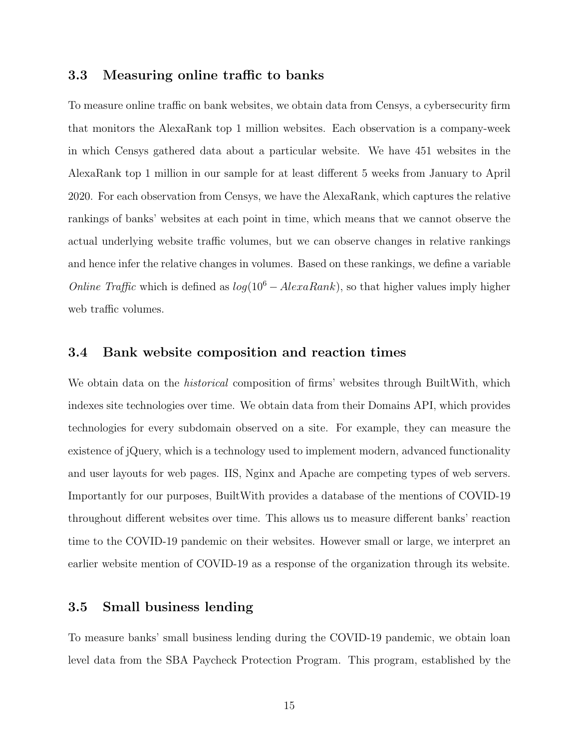## 3.3 Measuring online traffic to banks

To measure online traffic on bank websites, we obtain data from Censys, a cybersecurity firm that monitors the AlexaRank top 1 million websites. Each observation is a company-week in which Censys gathered data about a particular website. We have 451 websites in the AlexaRank top 1 million in our sample for at least different 5 weeks from January to April 2020. For each observation from Censys, we have the AlexaRank, which captures the relative rankings of banks' websites at each point in time, which means that we cannot observe the actual underlying website traffic volumes, but we can observe changes in relative rankings and hence infer the relative changes in volumes. Based on these rankings, we define a variable *Online Traffic* which is defined as  $log(10^6 - AlexaRank)$ , so that higher values imply higher web traffic volumes.

#### 3.4 Bank website composition and reaction times

We obtain data on the *historical* composition of firms' websites through BuiltWith, which indexes site technologies over time. We obtain data from their Domains API, which provides technologies for every subdomain observed on a site. For example, they can measure the existence of jQuery, which is a technology used to implement modern, advanced functionality and user layouts for web pages. IIS, Nginx and Apache are competing types of web servers. Importantly for our purposes, BuiltWith provides a database of the mentions of COVID-19 throughout different websites over time. This allows us to measure different banks' reaction time to the COVID-19 pandemic on their websites. However small or large, we interpret an earlier website mention of COVID-19 as a response of the organization through its website.

## 3.5 Small business lending

To measure banks' small business lending during the COVID-19 pandemic, we obtain loan level data from the SBA Paycheck Protection Program. This program, established by the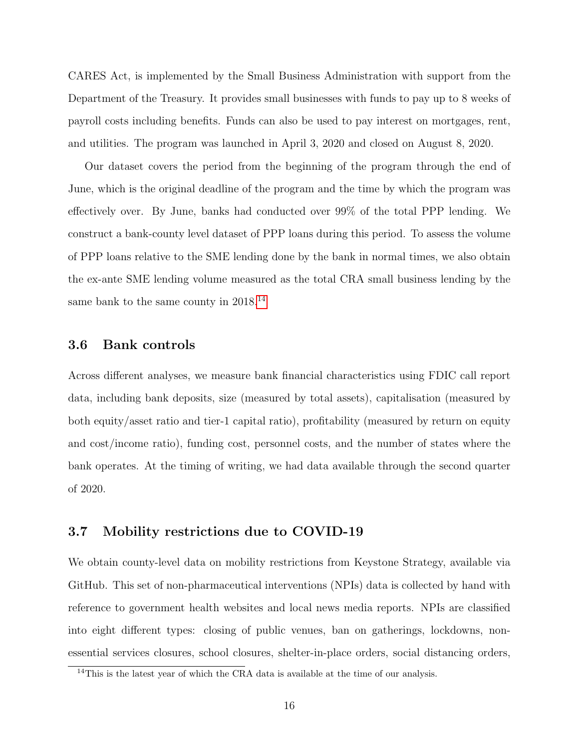CARES Act, is implemented by the Small Business Administration with support from the Department of the Treasury. It provides small businesses with funds to pay up to 8 weeks of payroll costs including benefits. Funds can also be used to pay interest on mortgages, rent, and utilities. The program was launched in April 3, 2020 and closed on August 8, 2020.

Our dataset covers the period from the beginning of the program through the end of June, which is the original deadline of the program and the time by which the program was effectively over. By June, banks had conducted over 99% of the total PPP lending. We construct a bank-county level dataset of PPP loans during this period. To assess the volume of PPP loans relative to the SME lending done by the bank in normal times, we also obtain the ex-ante SME lending volume measured as the total CRA small business lending by the same bank to the same county in 2018.<sup>[14](#page-16-0)</sup>

## 3.6 Bank controls

Across different analyses, we measure bank financial characteristics using FDIC call report data, including bank deposits, size (measured by total assets), capitalisation (measured by both equity/asset ratio and tier-1 capital ratio), profitability (measured by return on equity and cost/income ratio), funding cost, personnel costs, and the number of states where the bank operates. At the timing of writing, we had data available through the second quarter of 2020.

## 3.7 Mobility restrictions due to COVID-19

We obtain county-level data on mobility restrictions from Keystone Strategy, available via GitHub. This set of non-pharmaceutical interventions (NPIs) data is collected by hand with reference to government health websites and local news media reports. NPIs are classified into eight different types: closing of public venues, ban on gatherings, lockdowns, nonessential services closures, school closures, shelter-in-place orders, social distancing orders,

<span id="page-16-0"></span><sup>&</sup>lt;sup>14</sup>This is the latest year of which the CRA data is available at the time of our analysis.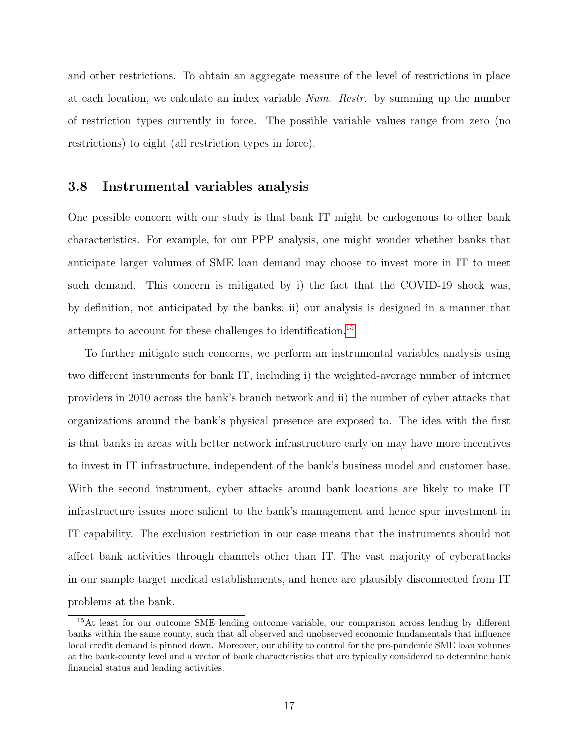and other restrictions. To obtain an aggregate measure of the level of restrictions in place at each location, we calculate an index variable Num. Restr. by summing up the number of restriction types currently in force. The possible variable values range from zero (no restrictions) to eight (all restriction types in force).

## 3.8 Instrumental variables analysis

One possible concern with our study is that bank IT might be endogenous to other bank characteristics. For example, for our PPP analysis, one might wonder whether banks that anticipate larger volumes of SME loan demand may choose to invest more in IT to meet such demand. This concern is mitigated by i) the fact that the COVID-19 shock was, by definition, not anticipated by the banks; ii) our analysis is designed in a manner that attempts to account for these challenges to identification.[15](#page-17-0)

To further mitigate such concerns, we perform an instrumental variables analysis using two different instruments for bank IT, including i) the weighted-average number of internet providers in 2010 across the bank's branch network and ii) the number of cyber attacks that organizations around the bank's physical presence are exposed to. The idea with the first is that banks in areas with better network infrastructure early on may have more incentives to invest in IT infrastructure, independent of the bank's business model and customer base. With the second instrument, cyber attacks around bank locations are likely to make IT infrastructure issues more salient to the bank's management and hence spur investment in IT capability. The exclusion restriction in our case means that the instruments should not affect bank activities through channels other than IT. The vast majority of cyberattacks in our sample target medical establishments, and hence are plausibly disconnected from IT problems at the bank.

<span id="page-17-0"></span><sup>15</sup>At least for our outcome SME lending outcome variable, our comparison across lending by different banks within the same county, such that all observed and unobserved economic fundamentals that influence local credit demand is pinned down. Moreover, our ability to control for the pre-pandemic SME loan volumes at the bank-county level and a vector of bank characteristics that are typically considered to determine bank financial status and lending activities.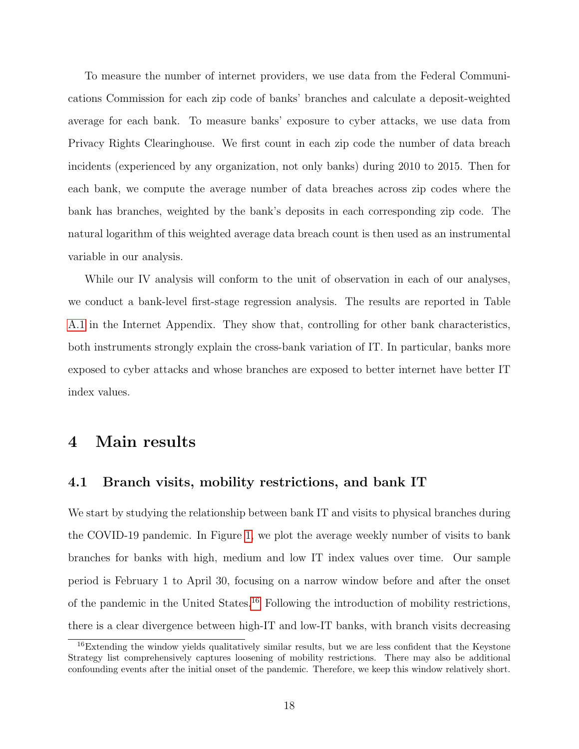To measure the number of internet providers, we use data from the Federal Communications Commission for each zip code of banks' branches and calculate a deposit-weighted average for each bank. To measure banks' exposure to cyber attacks, we use data from Privacy Rights Clearinghouse. We first count in each zip code the number of data breach incidents (experienced by any organization, not only banks) during 2010 to 2015. Then for each bank, we compute the average number of data breaches across zip codes where the bank has branches, weighted by the bank's deposits in each corresponding zip code. The natural logarithm of this weighted average data breach count is then used as an instrumental variable in our analysis.

While our IV analysis will conform to the unit of observation in each of our analyses, we conduct a bank-level first-stage regression analysis. The results are reported in Table [A.1](#page-45-0) in the Internet Appendix. They show that, controlling for other bank characteristics, both instruments strongly explain the cross-bank variation of IT. In particular, banks more exposed to cyber attacks and whose branches are exposed to better internet have better IT index values.

## 4 Main results

## 4.1 Branch visits, mobility restrictions, and bank IT

We start by studying the relationship between bank IT and visits to physical branches during the COVID-19 pandemic. In Figure [1,](#page-35-0) we plot the average weekly number of visits to bank branches for banks with high, medium and low IT index values over time. Our sample period is February 1 to April 30, focusing on a narrow window before and after the onset of the pandemic in the United States.[16](#page-18-0) Following the introduction of mobility restrictions, there is a clear divergence between high-IT and low-IT banks, with branch visits decreasing

<span id="page-18-0"></span><sup>&</sup>lt;sup>16</sup>Extending the window yields qualitatively similar results, but we are less confident that the Keystone Strategy list comprehensively captures loosening of mobility restrictions. There may also be additional confounding events after the initial onset of the pandemic. Therefore, we keep this window relatively short.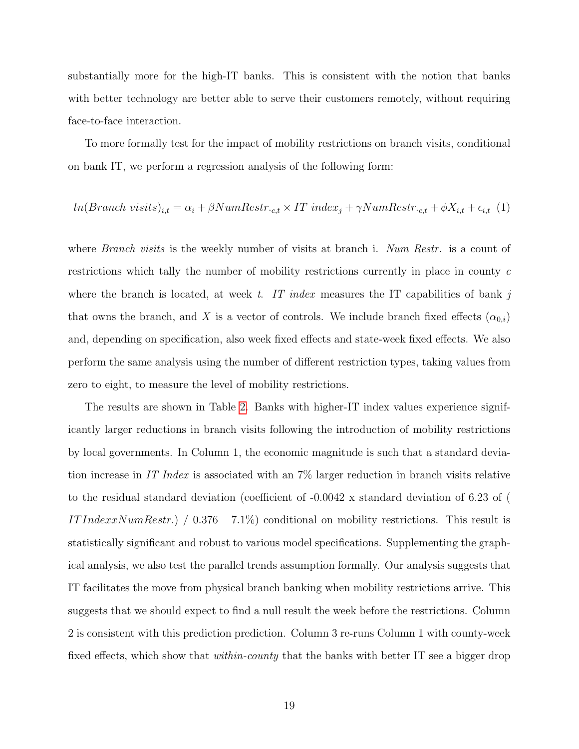substantially more for the high-IT banks. This is consistent with the notion that banks with better technology are better able to serve their customers remotely, without requiring face-to-face interaction.

To more formally test for the impact of mobility restrictions on branch visits, conditional on bank IT, we perform a regression analysis of the following form:

$$
ln(Branch\ visits)_{i,t} = \alpha_i + \beta NumRestr_{c,t} \times IT\ index_j + \gamma NumRestr_{c,t} + \phi X_{i,t} + \epsilon_{i,t} \tag{1}
$$

where *Branch visits* is the weekly number of visits at branch i. Num Restr. is a count of restrictions which tally the number of mobility restrictions currently in place in county c where the branch is located, at week t. IT index measures the IT capabilities of bank j that owns the branch, and X is a vector of controls. We include branch fixed effects  $(\alpha_{0,i})$ and, depending on specification, also week fixed effects and state-week fixed effects. We also perform the same analysis using the number of different restriction types, taking values from zero to eight, to measure the level of mobility restrictions.

The results are shown in Table [2.](#page-37-0) Banks with higher-IT index values experience significantly larger reductions in branch visits following the introduction of mobility restrictions by local governments. In Column 1, the economic magnitude is such that a standard deviation increase in IT Index is associated with an 7% larger reduction in branch visits relative to the residual standard deviation (coefficient of -0.0042 x standard deviation of 6.23 of ( IT Indexx NumRestr.)  $\left( 0.376 \right)$  7.1%) conditional on mobility restrictions. This result is statistically significant and robust to various model specifications. Supplementing the graphical analysis, we also test the parallel trends assumption formally. Our analysis suggests that IT facilitates the move from physical branch banking when mobility restrictions arrive. This suggests that we should expect to find a null result the week before the restrictions. Column 2 is consistent with this prediction prediction. Column 3 re-runs Column 1 with county-week fixed effects, which show that *within-county* that the banks with better IT see a bigger drop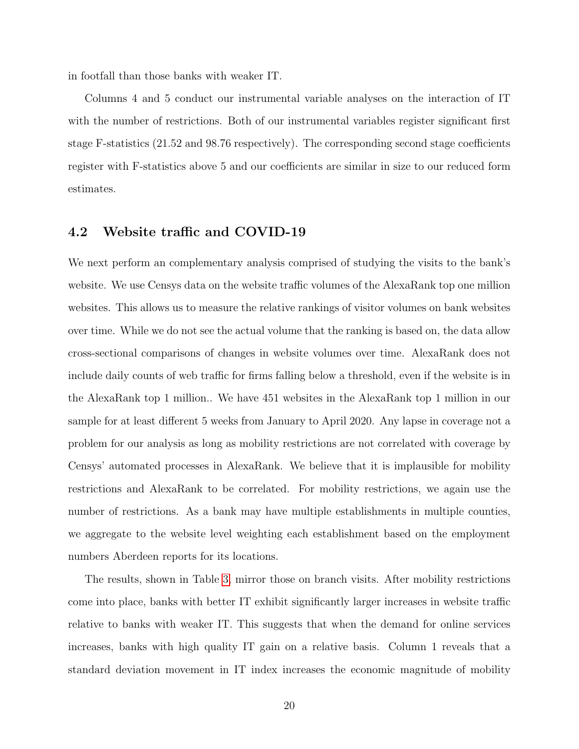in footfall than those banks with weaker IT.

Columns 4 and 5 conduct our instrumental variable analyses on the interaction of IT with the number of restrictions. Both of our instrumental variables register significant first stage F-statistics (21.52 and 98.76 respectively). The corresponding second stage coefficients register with F-statistics above 5 and our coefficients are similar in size to our reduced form estimates.

## 4.2 Website traffic and COVID-19

We next perform an complementary analysis comprised of studying the visits to the bank's website. We use Censys data on the website traffic volumes of the AlexaRank top one million websites. This allows us to measure the relative rankings of visitor volumes on bank websites over time. While we do not see the actual volume that the ranking is based on, the data allow cross-sectional comparisons of changes in website volumes over time. AlexaRank does not include daily counts of web traffic for firms falling below a threshold, even if the website is in the AlexaRank top 1 million.. We have 451 websites in the AlexaRank top 1 million in our sample for at least different 5 weeks from January to April 2020. Any lapse in coverage not a problem for our analysis as long as mobility restrictions are not correlated with coverage by Censys' automated processes in AlexaRank. We believe that it is implausible for mobility restrictions and AlexaRank to be correlated. For mobility restrictions, we again use the number of restrictions. As a bank may have multiple establishments in multiple counties, we aggregate to the website level weighting each establishment based on the employment numbers Aberdeen reports for its locations.

The results, shown in Table [3,](#page-38-0) mirror those on branch visits. After mobility restrictions come into place, banks with better IT exhibit significantly larger increases in website traffic relative to banks with weaker IT. This suggests that when the demand for online services increases, banks with high quality IT gain on a relative basis. Column 1 reveals that a standard deviation movement in IT index increases the economic magnitude of mobility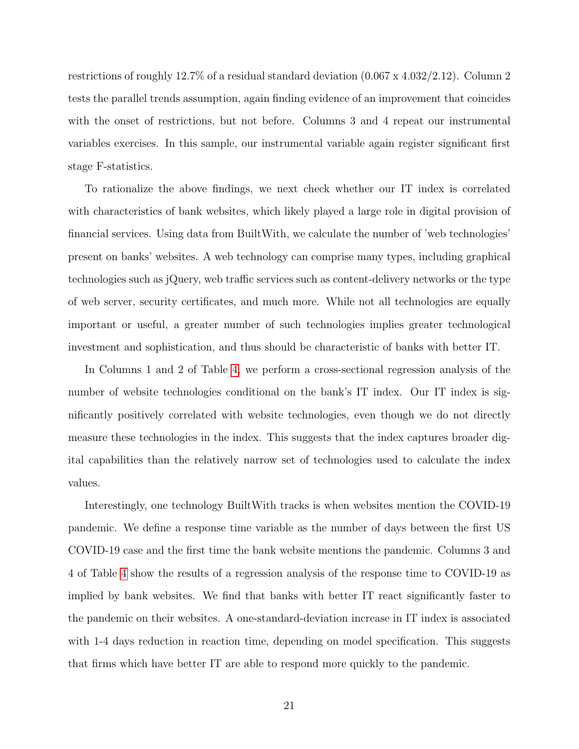restrictions of roughly 12.7% of a residual standard deviation (0.067 x 4.032/2.12). Column 2 tests the parallel trends assumption, again finding evidence of an improvement that coincides with the onset of restrictions, but not before. Columns 3 and 4 repeat our instrumental variables exercises. In this sample, our instrumental variable again register significant first stage F-statistics.

To rationalize the above findings, we next check whether our IT index is correlated with characteristics of bank websites, which likely played a large role in digital provision of financial services. Using data from BuiltWith, we calculate the number of 'web technologies' present on banks' websites. A web technology can comprise many types, including graphical technologies such as jQuery, web traffic services such as content-delivery networks or the type of web server, security certificates, and much more. While not all technologies are equally important or useful, a greater number of such technologies implies greater technological investment and sophistication, and thus should be characteristic of banks with better IT.

In Columns 1 and 2 of Table [4,](#page-39-0) we perform a cross-sectional regression analysis of the number of website technologies conditional on the bank's IT index. Our IT index is significantly positively correlated with website technologies, even though we do not directly measure these technologies in the index. This suggests that the index captures broader digital capabilities than the relatively narrow set of technologies used to calculate the index values.

Interestingly, one technology BuiltWith tracks is when websites mention the COVID-19 pandemic. We define a response time variable as the number of days between the first US COVID-19 case and the first time the bank website mentions the pandemic. Columns 3 and 4 of Table [4](#page-39-0) show the results of a regression analysis of the response time to COVID-19 as implied by bank websites. We find that banks with better IT react significantly faster to the pandemic on their websites. A one-standard-deviation increase in IT index is associated with 1-4 days reduction in reaction time, depending on model specification. This suggests that firms which have better IT are able to respond more quickly to the pandemic.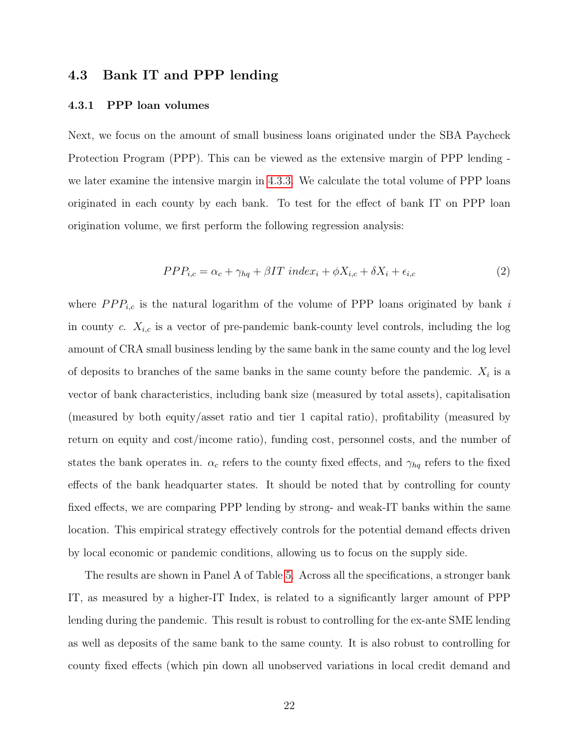## 4.3 Bank IT and PPP lending

#### 4.3.1 PPP loan volumes

Next, we focus on the amount of small business loans originated under the SBA Paycheck Protection Program (PPP). This can be viewed as the extensive margin of PPP lending we later examine the intensive margin in [4.3.3.](#page-24-0) We calculate the total volume of PPP loans originated in each county by each bank. To test for the effect of bank IT on PPP loan origination volume, we first perform the following regression analysis:

$$
PPP_{i,c} = \alpha_c + \gamma_{hq} + \beta IT \ index_i + \phi X_{i,c} + \delta X_i + \epsilon_{i,c}
$$
\n<sup>(2)</sup>

where  $PPP_{i,c}$  is the natural logarithm of the volume of PPP loans originated by bank i in county c.  $X_{i,c}$  is a vector of pre-pandemic bank-county level controls, including the log amount of CRA small business lending by the same bank in the same county and the log level of deposits to branches of the same banks in the same county before the pandemic.  $X_i$  is a vector of bank characteristics, including bank size (measured by total assets), capitalisation (measured by both equity/asset ratio and tier 1 capital ratio), profitability (measured by return on equity and cost/income ratio), funding cost, personnel costs, and the number of states the bank operates in.  $\alpha_c$  refers to the county fixed effects, and  $\gamma_{hq}$  refers to the fixed effects of the bank headquarter states. It should be noted that by controlling for county fixed effects, we are comparing PPP lending by strong- and weak-IT banks within the same location. This empirical strategy effectively controls for the potential demand effects driven by local economic or pandemic conditions, allowing us to focus on the supply side.

The results are shown in Panel A of Table [5.](#page-40-0) Across all the specifications, a stronger bank IT, as measured by a higher-IT Index, is related to a significantly larger amount of PPP lending during the pandemic. This result is robust to controlling for the ex-ante SME lending as well as deposits of the same bank to the same county. It is also robust to controlling for county fixed effects (which pin down all unobserved variations in local credit demand and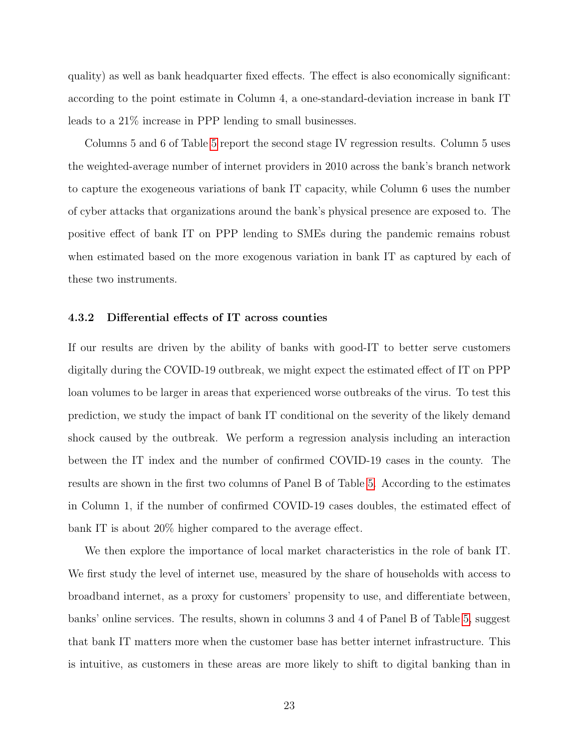quality) as well as bank headquarter fixed effects. The effect is also economically significant: according to the point estimate in Column 4, a one-standard-deviation increase in bank IT leads to a 21% increase in PPP lending to small businesses.

Columns 5 and 6 of Table [5](#page-40-0) report the second stage IV regression results. Column 5 uses the weighted-average number of internet providers in 2010 across the bank's branch network to capture the exogeneous variations of bank IT capacity, while Column 6 uses the number of cyber attacks that organizations around the bank's physical presence are exposed to. The positive effect of bank IT on PPP lending to SMEs during the pandemic remains robust when estimated based on the more exogenous variation in bank IT as captured by each of these two instruments.

#### 4.3.2 Differential effects of IT across counties

If our results are driven by the ability of banks with good-IT to better serve customers digitally during the COVID-19 outbreak, we might expect the estimated effect of IT on PPP loan volumes to be larger in areas that experienced worse outbreaks of the virus. To test this prediction, we study the impact of bank IT conditional on the severity of the likely demand shock caused by the outbreak. We perform a regression analysis including an interaction between the IT index and the number of confirmed COVID-19 cases in the county. The results are shown in the first two columns of Panel B of Table [5.](#page-40-0) According to the estimates in Column 1, if the number of confirmed COVID-19 cases doubles, the estimated effect of bank IT is about 20% higher compared to the average effect.

We then explore the importance of local market characteristics in the role of bank IT. We first study the level of internet use, measured by the share of households with access to broadband internet, as a proxy for customers' propensity to use, and differentiate between, banks' online services. The results, shown in columns 3 and 4 of Panel B of Table [5,](#page-40-0) suggest that bank IT matters more when the customer base has better internet infrastructure. This is intuitive, as customers in these areas are more likely to shift to digital banking than in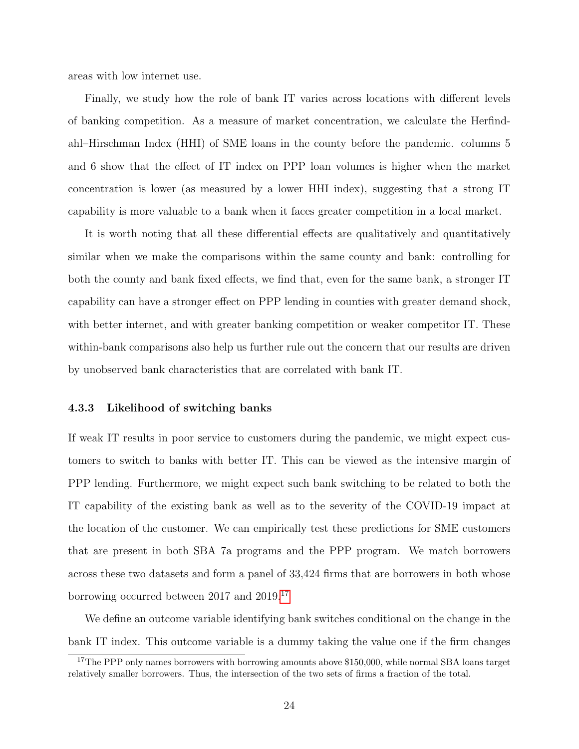areas with low internet use.

Finally, we study how the role of bank IT varies across locations with different levels of banking competition. As a measure of market concentration, we calculate the Herfindahl–Hirschman Index (HHI) of SME loans in the county before the pandemic. columns 5 and 6 show that the effect of IT index on PPP loan volumes is higher when the market concentration is lower (as measured by a lower HHI index), suggesting that a strong IT capability is more valuable to a bank when it faces greater competition in a local market.

It is worth noting that all these differential effects are qualitatively and quantitatively similar when we make the comparisons within the same county and bank: controlling for both the county and bank fixed effects, we find that, even for the same bank, a stronger IT capability can have a stronger effect on PPP lending in counties with greater demand shock, with better internet, and with greater banking competition or weaker competitor IT. These within-bank comparisons also help us further rule out the concern that our results are driven by unobserved bank characteristics that are correlated with bank IT.

#### <span id="page-24-0"></span>4.3.3 Likelihood of switching banks

If weak IT results in poor service to customers during the pandemic, we might expect customers to switch to banks with better IT. This can be viewed as the intensive margin of PPP lending. Furthermore, we might expect such bank switching to be related to both the IT capability of the existing bank as well as to the severity of the COVID-19 impact at the location of the customer. We can empirically test these predictions for SME customers that are present in both SBA 7a programs and the PPP program. We match borrowers across these two datasets and form a panel of 33,424 firms that are borrowers in both whose borrowing occurred between 2017 and 2019.[17](#page-24-1)

We define an outcome variable identifying bank switches conditional on the change in the bank IT index. This outcome variable is a dummy taking the value one if the firm changes

<span id="page-24-1"></span><sup>&</sup>lt;sup>17</sup>The PPP only names borrowers with borrowing amounts above \$150,000, while normal SBA loans target relatively smaller borrowers. Thus, the intersection of the two sets of firms a fraction of the total.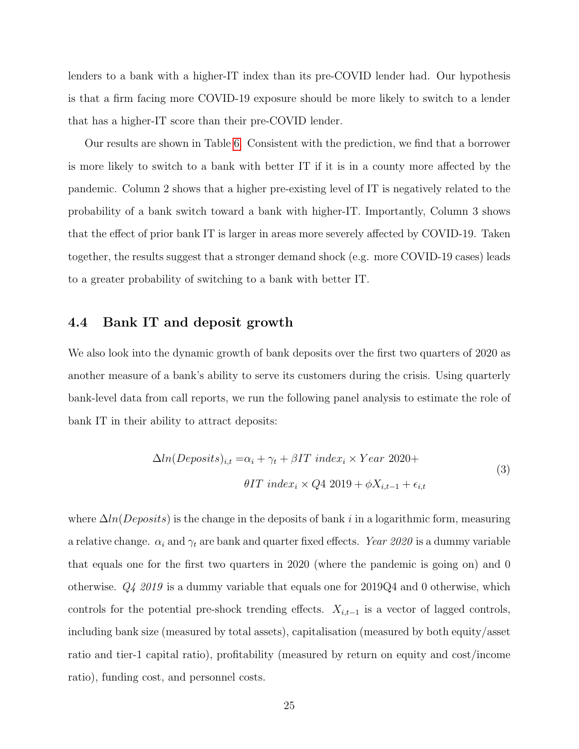lenders to a bank with a higher-IT index than its pre-COVID lender had. Our hypothesis is that a firm facing more COVID-19 exposure should be more likely to switch to a lender that has a higher-IT score than their pre-COVID lender.

Our results are shown in Table [6.](#page-42-0) Consistent with the prediction, we find that a borrower is more likely to switch to a bank with better IT if it is in a county more affected by the pandemic. Column 2 shows that a higher pre-existing level of IT is negatively related to the probability of a bank switch toward a bank with higher-IT. Importantly, Column 3 shows that the effect of prior bank IT is larger in areas more severely affected by COVID-19. Taken together, the results suggest that a stronger demand shock (e.g. more COVID-19 cases) leads to a greater probability of switching to a bank with better IT.

## 4.4 Bank IT and deposit growth

We also look into the dynamic growth of bank deposits over the first two quarters of 2020 as another measure of a bank's ability to serve its customers during the crisis. Using quarterly bank-level data from call reports, we run the following panel analysis to estimate the role of bank IT in their ability to attract deposits:

$$
\Delta ln(Deposits)_{i,t} = \alpha_i + \gamma_t + \beta IT \ index_i \times Year \ 2020+
$$
  

$$
\theta IT \ index_i \times Q4 \ 2019 + \phi X_{i,t-1} + \epsilon_{i,t}
$$
  
(3)

where  $\Delta ln(Deposits)$  is the change in the deposits of bank i in a logarithmic form, measuring a relative change.  $\alpha_i$  and  $\gamma_t$  are bank and quarter fixed effects. Year 2020 is a dummy variable that equals one for the first two quarters in 2020 (where the pandemic is going on) and 0 otherwise. Q4 2019 is a dummy variable that equals one for 2019Q4 and 0 otherwise, which controls for the potential pre-shock trending effects.  $X_{i,t-1}$  is a vector of lagged controls, including bank size (measured by total assets), capitalisation (measured by both equity/asset ratio and tier-1 capital ratio), profitability (measured by return on equity and cost/income ratio), funding cost, and personnel costs.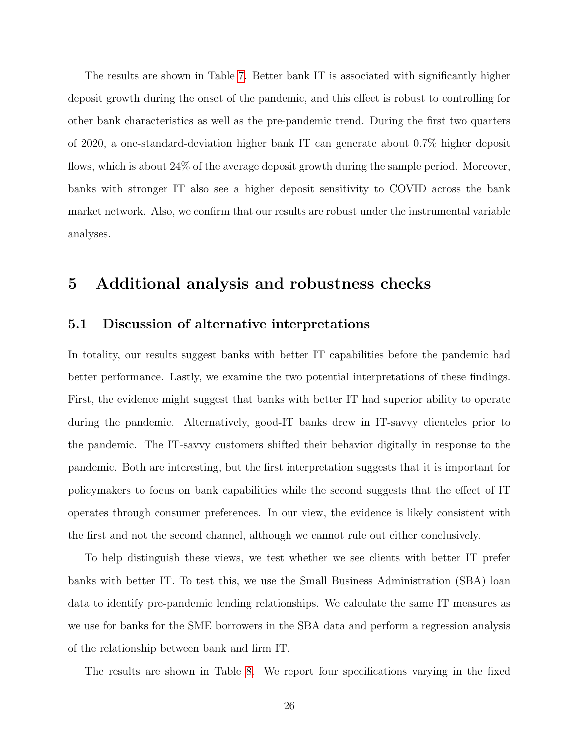The results are shown in Table [7.](#page-43-0) Better bank IT is associated with significantly higher deposit growth during the onset of the pandemic, and this effect is robust to controlling for other bank characteristics as well as the pre-pandemic trend. During the first two quarters of 2020, a one-standard-deviation higher bank IT can generate about 0.7% higher deposit flows, which is about 24% of the average deposit growth during the sample period. Moreover, banks with stronger IT also see a higher deposit sensitivity to COVID across the bank market network. Also, we confirm that our results are robust under the instrumental variable analyses.

## 5 Additional analysis and robustness checks

## 5.1 Discussion of alternative interpretations

In totality, our results suggest banks with better IT capabilities before the pandemic had better performance. Lastly, we examine the two potential interpretations of these findings. First, the evidence might suggest that banks with better IT had superior ability to operate during the pandemic. Alternatively, good-IT banks drew in IT-savvy clienteles prior to the pandemic. The IT-savvy customers shifted their behavior digitally in response to the pandemic. Both are interesting, but the first interpretation suggests that it is important for policymakers to focus on bank capabilities while the second suggests that the effect of IT operates through consumer preferences. In our view, the evidence is likely consistent with the first and not the second channel, although we cannot rule out either conclusively.

To help distinguish these views, we test whether we see clients with better IT prefer banks with better IT. To test this, we use the Small Business Administration (SBA) loan data to identify pre-pandemic lending relationships. We calculate the same IT measures as we use for banks for the SME borrowers in the SBA data and perform a regression analysis of the relationship between bank and firm IT.

The results are shown in Table [8.](#page-44-0) We report four specifications varying in the fixed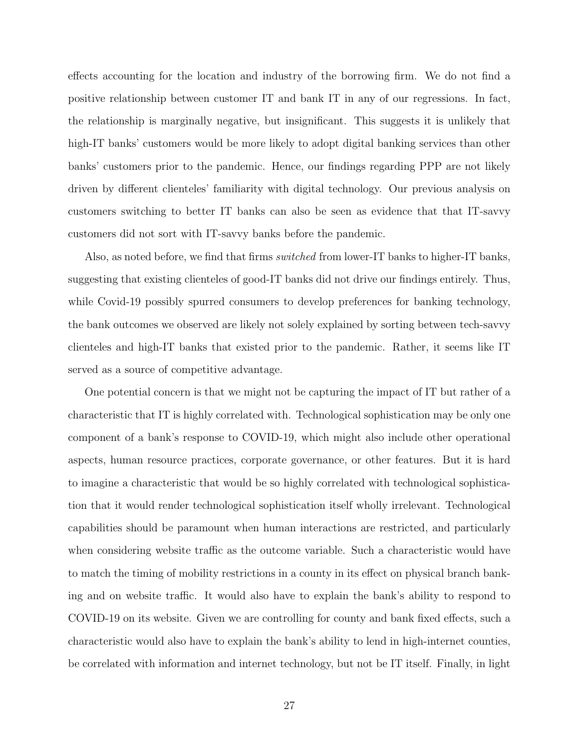effects accounting for the location and industry of the borrowing firm. We do not find a positive relationship between customer IT and bank IT in any of our regressions. In fact, the relationship is marginally negative, but insignificant. This suggests it is unlikely that high-IT banks' customers would be more likely to adopt digital banking services than other banks' customers prior to the pandemic. Hence, our findings regarding PPP are not likely driven by different clienteles' familiarity with digital technology. Our previous analysis on customers switching to better IT banks can also be seen as evidence that that IT-savvy customers did not sort with IT-savvy banks before the pandemic.

Also, as noted before, we find that firms *switched* from lower-IT banks to higher-IT banks, suggesting that existing clienteles of good-IT banks did not drive our findings entirely. Thus, while Covid-19 possibly spurred consumers to develop preferences for banking technology, the bank outcomes we observed are likely not solely explained by sorting between tech-savvy clienteles and high-IT banks that existed prior to the pandemic. Rather, it seems like IT served as a source of competitive advantage.

One potential concern is that we might not be capturing the impact of IT but rather of a characteristic that IT is highly correlated with. Technological sophistication may be only one component of a bank's response to COVID-19, which might also include other operational aspects, human resource practices, corporate governance, or other features. But it is hard to imagine a characteristic that would be so highly correlated with technological sophistication that it would render technological sophistication itself wholly irrelevant. Technological capabilities should be paramount when human interactions are restricted, and particularly when considering website traffic as the outcome variable. Such a characteristic would have to match the timing of mobility restrictions in a county in its effect on physical branch banking and on website traffic. It would also have to explain the bank's ability to respond to COVID-19 on its website. Given we are controlling for county and bank fixed effects, such a characteristic would also have to explain the bank's ability to lend in high-internet counties, be correlated with information and internet technology, but not be IT itself. Finally, in light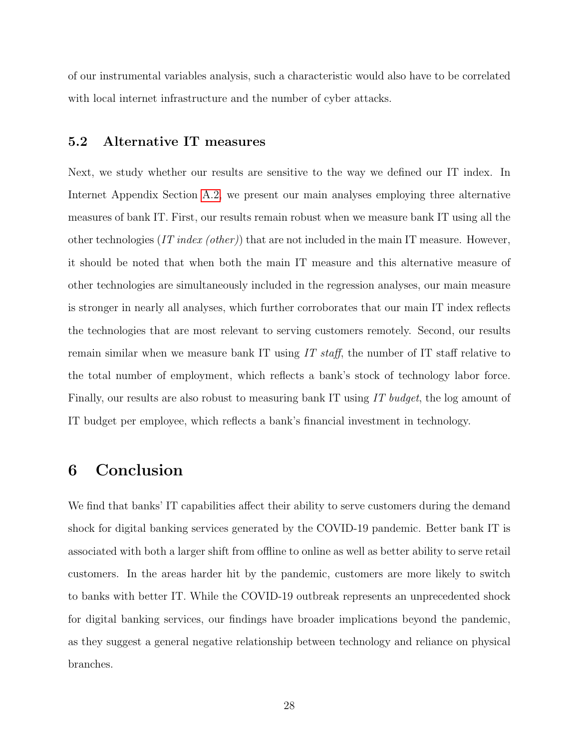of our instrumental variables analysis, such a characteristic would also have to be correlated with local internet infrastructure and the number of cyber attacks.

## 5.2 Alternative IT measures

Next, we study whether our results are sensitive to the way we defined our IT index. In Internet Appendix Section [A.2,](#page-46-0) we present our main analyses employing three alternative measures of bank IT. First, our results remain robust when we measure bank IT using all the other technologies (IT index (other)) that are not included in the main IT measure. However, it should be noted that when both the main IT measure and this alternative measure of other technologies are simultaneously included in the regression analyses, our main measure is stronger in nearly all analyses, which further corroborates that our main IT index reflects the technologies that are most relevant to serving customers remotely. Second, our results remain similar when we measure bank IT using IT staff, the number of IT staff relative to the total number of employment, which reflects a bank's stock of technology labor force. Finally, our results are also robust to measuring bank IT using IT budget, the log amount of IT budget per employee, which reflects a bank's financial investment in technology.

## 6 Conclusion

We find that banks' IT capabilities affect their ability to serve customers during the demand shock for digital banking services generated by the COVID-19 pandemic. Better bank IT is associated with both a larger shift from offline to online as well as better ability to serve retail customers. In the areas harder hit by the pandemic, customers are more likely to switch to banks with better IT. While the COVID-19 outbreak represents an unprecedented shock for digital banking services, our findings have broader implications beyond the pandemic, as they suggest a general negative relationship between technology and reliance on physical branches.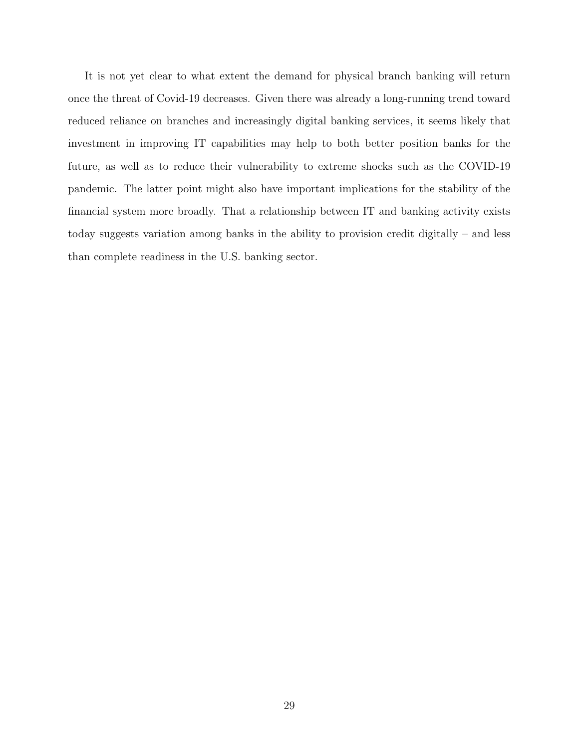It is not yet clear to what extent the demand for physical branch banking will return once the threat of Covid-19 decreases. Given there was already a long-running trend toward reduced reliance on branches and increasingly digital banking services, it seems likely that investment in improving IT capabilities may help to both better position banks for the future, as well as to reduce their vulnerability to extreme shocks such as the COVID-19 pandemic. The latter point might also have important implications for the stability of the financial system more broadly. That a relationship between IT and banking activity exists today suggests variation among banks in the ability to provision credit digitally – and less than complete readiness in the U.S. banking sector.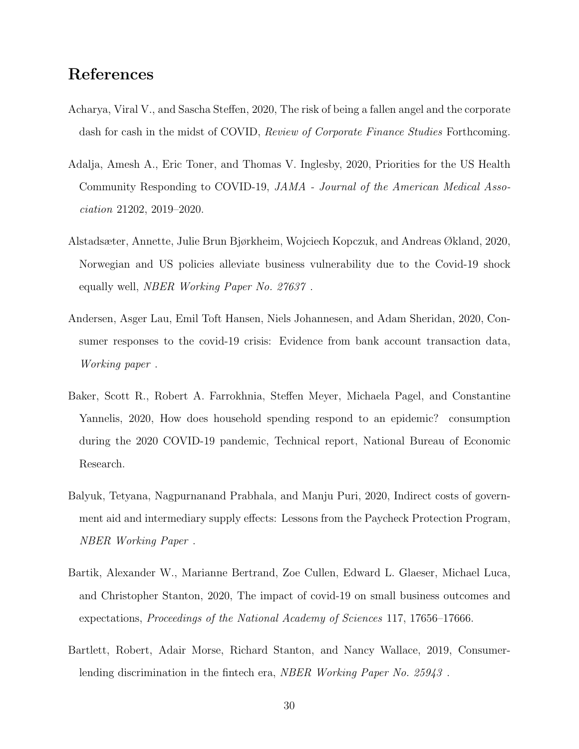## References

- <span id="page-30-7"></span>Acharya, Viral V., and Sascha Steffen, 2020, The risk of being a fallen angel and the corporate dash for cash in the midst of COVID, Review of Corporate Finance Studies Forthcoming.
- <span id="page-30-2"></span>Adalja, Amesh A., Eric Toner, and Thomas V. Inglesby, 2020, Priorities for the US Health Community Responding to COVID-19, JAMA - Journal of the American Medical Association 21202, 2019–2020.
- <span id="page-30-6"></span>Alstadsæter, Annette, Julie Brun Bjørkheim, Wojciech Kopczuk, and Andreas Økland, 2020, Norwegian and US policies alleviate business vulnerability due to the Covid-19 shock equally well, NBER Working Paper No. 27637 .
- <span id="page-30-4"></span>Andersen, Asger Lau, Emil Toft Hansen, Niels Johannesen, and Adam Sheridan, 2020, Consumer responses to the covid-19 crisis: Evidence from bank account transaction data, Working paper .
- <span id="page-30-3"></span>Baker, Scott R., Robert A. Farrokhnia, Steffen Meyer, Michaela Pagel, and Constantine Yannelis, 2020, How does household spending respond to an epidemic? consumption during the 2020 COVID-19 pandemic, Technical report, National Bureau of Economic Research.
- <span id="page-30-0"></span>Balyuk, Tetyana, Nagpurnanand Prabhala, and Manju Puri, 2020, Indirect costs of government aid and intermediary supply effects: Lessons from the Paycheck Protection Program, NBER Working Paper .
- <span id="page-30-5"></span>Bartik, Alexander W., Marianne Bertrand, Zoe Cullen, Edward L. Glaeser, Michael Luca, and Christopher Stanton, 2020, The impact of covid-19 on small business outcomes and expectations, Proceedings of the National Academy of Sciences 117, 17656–17666.
- <span id="page-30-1"></span>Bartlett, Robert, Adair Morse, Richard Stanton, and Nancy Wallace, 2019, Consumerlending discrimination in the fintech era, *NBER Working Paper No. 25943*.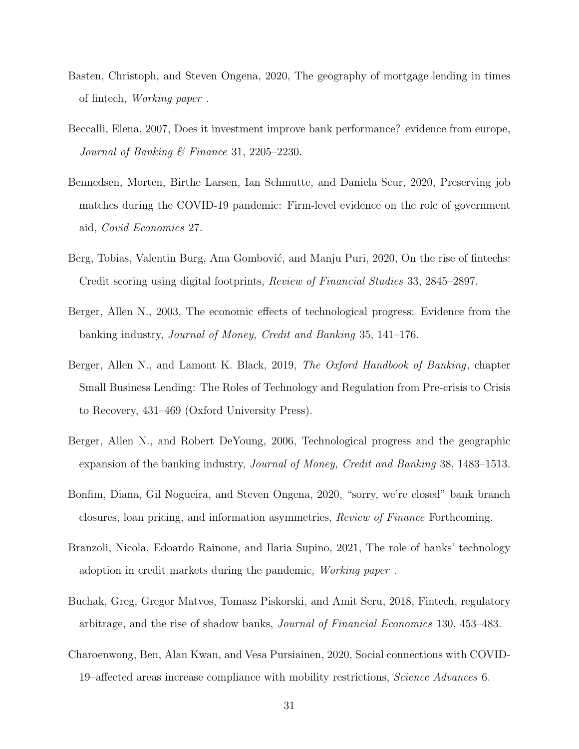- <span id="page-31-6"></span>Basten, Christoph, and Steven Ongena, 2020, The geography of mortgage lending in times of fintech, Working paper .
- <span id="page-31-2"></span>Beccalli, Elena, 2007, Does it investment improve bank performance? evidence from europe, Journal of Banking  $\mathcal B$  Finance 31, 2205–2230.
- <span id="page-31-9"></span>Bennedsen, Morten, Birthe Larsen, Ian Schmutte, and Daniela Scur, 2020, Preserving job matches during the COVID-19 pandemic: Firm-level evidence on the role of government aid, Covid Economics 27.
- <span id="page-31-3"></span>Berg, Tobias, Valentin Burg, Ana Gombović, and Manju Puri, 2020, On the rise of fintechs: Credit scoring using digital footprints, Review of Financial Studies 33, 2845–2897.
- <span id="page-31-1"></span>Berger, Allen N., 2003, The economic effects of technological progress: Evidence from the banking industry, Journal of Money, Credit and Banking 35, 141–176.
- <span id="page-31-7"></span>Berger, Allen N., and Lamont K. Black, 2019, The Oxford Handbook of Banking, chapter Small Business Lending: The Roles of Technology and Regulation from Pre-crisis to Crisis to Recovery, 431–469 (Oxford University Press).
- <span id="page-31-0"></span>Berger, Allen N., and Robert DeYoung, 2006, Technological progress and the geographic expansion of the banking industry, Journal of Money, Credit and Banking 38, 1483–1513.
- <span id="page-31-4"></span>Bonfim, Diana, Gil Nogueira, and Steven Ongena, 2020, "sorry, we're closed" bank branch closures, loan pricing, and information asymmetries, Review of Finance Forthcoming.
- <span id="page-31-5"></span>Branzoli, Nicola, Edoardo Rainone, and Ilaria Supino, 2021, The role of banks' technology adoption in credit markets during the pandemic, Working paper .
- <span id="page-31-8"></span>Buchak, Greg, Gregor Matvos, Tomasz Piskorski, and Amit Seru, 2018, Fintech, regulatory arbitrage, and the rise of shadow banks, Journal of Financial Economics 130, 453–483.
- <span id="page-31-10"></span>Charoenwong, Ben, Alan Kwan, and Vesa Pursiainen, 2020, Social connections with COVID-19–affected areas increase compliance with mobility restrictions, Science Advances 6.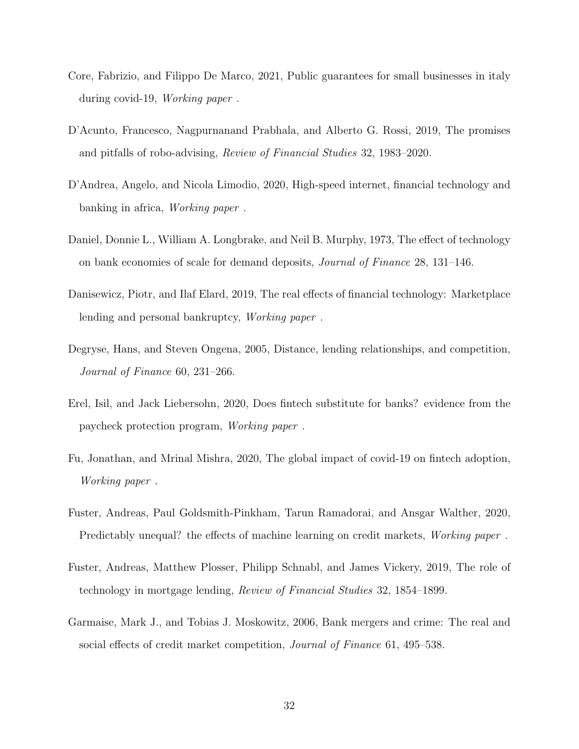- <span id="page-32-1"></span>Core, Fabrizio, and Filippo De Marco, 2021, Public guarantees for small businesses in italy during covid-19, Working paper .
- <span id="page-32-0"></span>D'Acunto, Francesco, Nagpurnanand Prabhala, and Alberto G. Rossi, 2019, The promises and pitfalls of robo-advising, Review of Financial Studies 32, 1983–2020.
- <span id="page-32-2"></span>D'Andrea, Angelo, and Nicola Limodio, 2020, High-speed internet, financial technology and banking in africa, Working paper .
- <span id="page-32-3"></span>Daniel, Donnie L., William A. Longbrake, and Neil B. Murphy, 1973, The effect of technology on bank economies of scale for demand deposits, Journal of Finance 28, 131–146.
- <span id="page-32-7"></span>Danisewicz, Piotr, and Ilaf Elard, 2019, The real effects of financial technology: Marketplace lending and personal bankruptcy, Working paper .
- <span id="page-32-4"></span>Degryse, Hans, and Steven Ongena, 2005, Distance, lending relationships, and competition, Journal of Finance 60, 231–266.
- <span id="page-32-10"></span>Erel, Isil, and Jack Liebersohn, 2020, Does fintech substitute for banks? evidence from the paycheck protection program, Working paper .
- <span id="page-32-9"></span>Fu, Jonathan, and Mrinal Mishra, 2020, The global impact of covid-19 on fintech adoption, Working paper .
- <span id="page-32-8"></span>Fuster, Andreas, Paul Goldsmith-Pinkham, Tarun Ramadorai, and Ansgar Walther, 2020, Predictably unequal? the effects of machine learning on credit markets, *Working paper*.
- <span id="page-32-6"></span>Fuster, Andreas, Matthew Plosser, Philipp Schnabl, and James Vickery, 2019, The role of technology in mortgage lending, Review of Financial Studies 32, 1854–1899.
- <span id="page-32-5"></span>Garmaise, Mark J., and Tobias J. Moskowitz, 2006, Bank mergers and crime: The real and social effects of credit market competition, Journal of Finance 61, 495–538.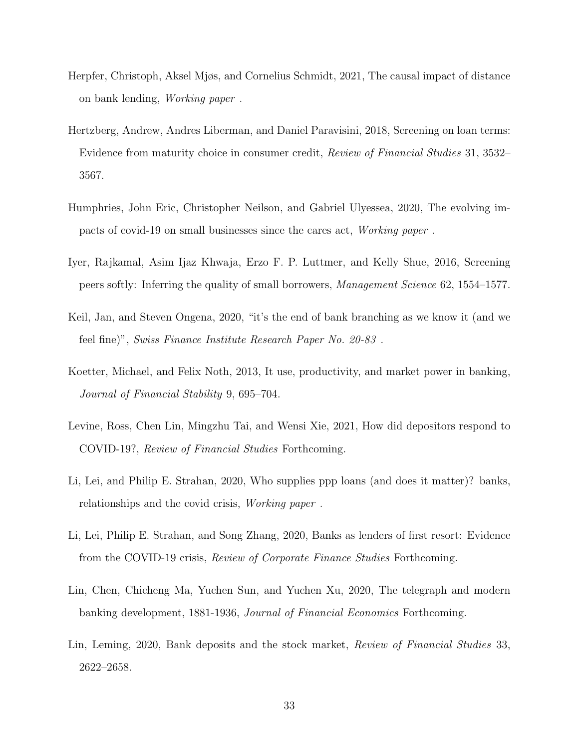- <span id="page-33-2"></span>Herpfer, Christoph, Aksel Mjøs, and Cornelius Schmidt, 2021, The causal impact of distance on bank lending, Working paper .
- <span id="page-33-8"></span>Hertzberg, Andrew, Andres Liberman, and Daniel Paravisini, 2018, Screening on loan terms: Evidence from maturity choice in consumer credit, Review of Financial Studies 31, 3532– 3567.
- <span id="page-33-9"></span>Humphries, John Eric, Christopher Neilson, and Gabriel Ulyessea, 2020, The evolving impacts of covid-19 on small businesses since the cares act, Working paper .
- <span id="page-33-7"></span>Iyer, Rajkamal, Asim Ijaz Khwaja, Erzo F. P. Luttmer, and Kelly Shue, 2016, Screening peers softly: Inferring the quality of small borrowers, Management Science 62, 1554–1577.
- <span id="page-33-1"></span>Keil, Jan, and Steven Ongena, 2020, "it's the end of bank branching as we know it (and we feel fine)", Swiss Finance Institute Research Paper No. 20-83 .
- <span id="page-33-0"></span>Koetter, Michael, and Felix Noth, 2013, It use, productivity, and market power in banking, Journal of Financial Stability 9, 695–704.
- <span id="page-33-4"></span>Levine, Ross, Chen Lin, Mingzhu Tai, and Wensi Xie, 2021, How did depositors respond to COVID-19?, Review of Financial Studies Forthcoming.
- <span id="page-33-3"></span>Li, Lei, and Philip E. Strahan, 2020, Who supplies ppp loans (and does it matter)? banks, relationships and the covid crisis, Working paper .
- <span id="page-33-10"></span>Li, Lei, Philip E. Strahan, and Song Zhang, 2020, Banks as lenders of first resort: Evidence from the COVID-19 crisis, Review of Corporate Finance Studies Forthcoming.
- <span id="page-33-5"></span>Lin, Chen, Chicheng Ma, Yuchen Sun, and Yuchen Xu, 2020, The telegraph and modern banking development, 1881-1936, Journal of Financial Economics Forthcoming.
- <span id="page-33-6"></span>Lin, Leming, 2020, Bank deposits and the stock market, Review of Financial Studies 33, 2622–2658.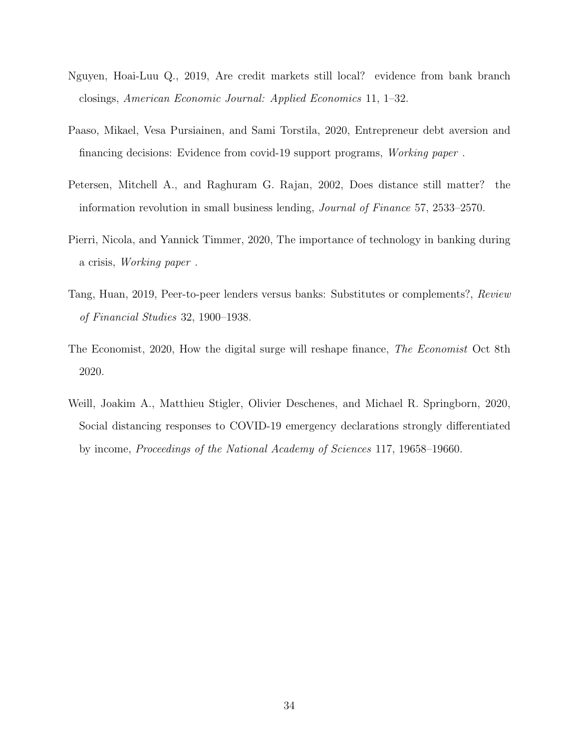- <span id="page-34-2"></span>Nguyen, Hoai-Luu Q., 2019, Are credit markets still local? evidence from bank branch closings, American Economic Journal: Applied Economics 11, 1–32.
- <span id="page-34-5"></span>Paaso, Mikael, Vesa Pursiainen, and Sami Torstila, 2020, Entrepreneur debt aversion and financing decisions: Evidence from covid-19 support programs, Working paper .
- <span id="page-34-1"></span>Petersen, Mitchell A., and Raghuram G. Rajan, 2002, Does distance still matter? the information revolution in small business lending, Journal of Finance 57, 2533–2570.
- <span id="page-34-4"></span>Pierri, Nicola, and Yannick Timmer, 2020, The importance of technology in banking during a crisis, Working paper .
- <span id="page-34-0"></span>Tang, Huan, 2019, Peer-to-peer lenders versus banks: Substitutes or complements?, Review of Financial Studies 32, 1900–1938.
- <span id="page-34-3"></span>The Economist, 2020, How the digital surge will reshape finance, The Economist Oct 8th 2020.
- <span id="page-34-6"></span>Weill, Joakim A., Matthieu Stigler, Olivier Deschenes, and Michael R. Springborn, 2020, Social distancing responses to COVID-19 emergency declarations strongly differentiated by income, Proceedings of the National Academy of Sciences 117, 19658–19660.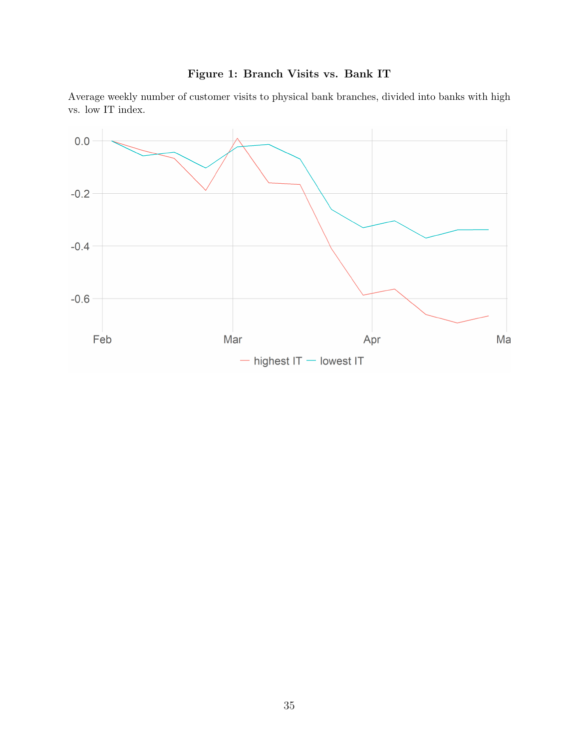

<span id="page-35-0"></span>Average weekly number of customer visits to physical bank branches, divided into banks with high vs. low IT index.

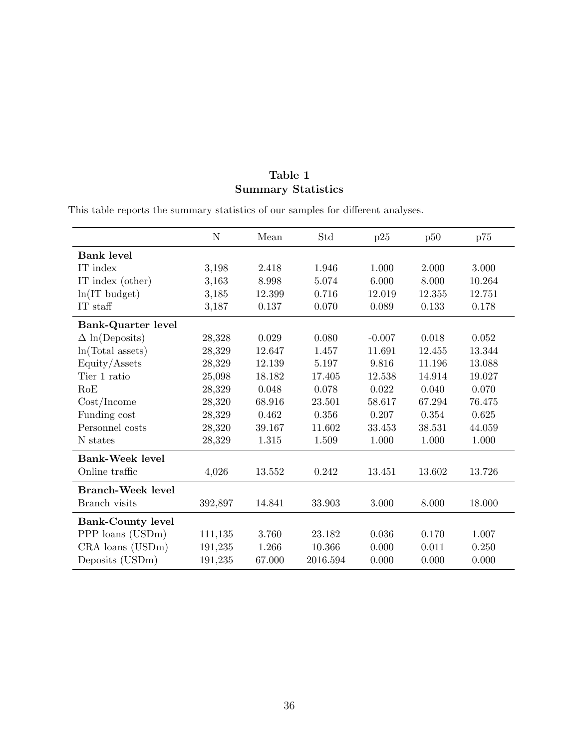## Table 1 Summary Statistics

This table reports the summary statistics of our samples for different analyses.

|                          | N       | Mean   | Std      | p25      | p50    | p75    |
|--------------------------|---------|--------|----------|----------|--------|--------|
| <b>Bank level</b>        |         |        |          |          |        |        |
| IT index                 | 3,198   | 2.418  | 1.946    | 1.000    | 2.000  | 3.000  |
| IT index (other)         | 3,163   | 8.998  | 5.074    | 6.000    | 8.000  | 10.264 |
| $ln(IT$ budget)          | 3,185   | 12.399 | 0.716    | 12.019   | 12.355 | 12.751 |
| IT staff                 | 3,187   | 0.137  | 0.070    | 0.089    | 0.133  | 0.178  |
| Bank-Quarter level       |         |        |          |          |        |        |
| $\Delta$ ln(Deposits)    | 28,328  | 0.029  | 0.080    | $-0.007$ | 0.018  | 0.052  |
| ln(Total assets)         | 28,329  | 12.647 | 1.457    | 11.691   | 12.455 | 13.344 |
| Equity/Assets            | 28,329  | 12.139 | 5.197    | 9.816    | 11.196 | 13.088 |
| Tier 1 ratio             | 25,098  | 18.182 | 17.405   | 12.538   | 14.914 | 19.027 |
| RoE                      | 28,329  | 0.048  | 0.078    | 0.022    | 0.040  | 0.070  |
| Cost/Income              | 28,320  | 68.916 | 23.501   | 58.617   | 67.294 | 76.475 |
| Funding cost             | 28,329  | 0.462  | 0.356    | 0.207    | 0.354  | 0.625  |
| Personnel costs          | 28,320  | 39.167 | 11.602   | 33.453   | 38.531 | 44.059 |
| N states                 | 28,329  | 1.315  | 1.509    | 1.000    | 1.000  | 1.000  |
| <b>Bank-Week level</b>   |         |        |          |          |        |        |
| Online traffic           | 4,026   | 13.552 | 0.242    | 13.451   | 13.602 | 13.726 |
| <b>Branch-Week level</b> |         |        |          |          |        |        |
| Branch visits            | 392,897 | 14.841 | 33.903   | 3.000    | 8.000  | 18.000 |
| <b>Bank-County level</b> |         |        |          |          |        |        |
| PPP loans (USDm)         | 111,135 | 3.760  | 23.182   | 0.036    | 0.170  | 1.007  |
| CRA loans (USDm)         | 191,235 | 1.266  | 10.366   | 0.000    | 0.011  | 0.250  |
| Deposits (USDm)          | 191,235 | 67.000 | 2016.594 | 0.000    | 0.000  | 0.000  |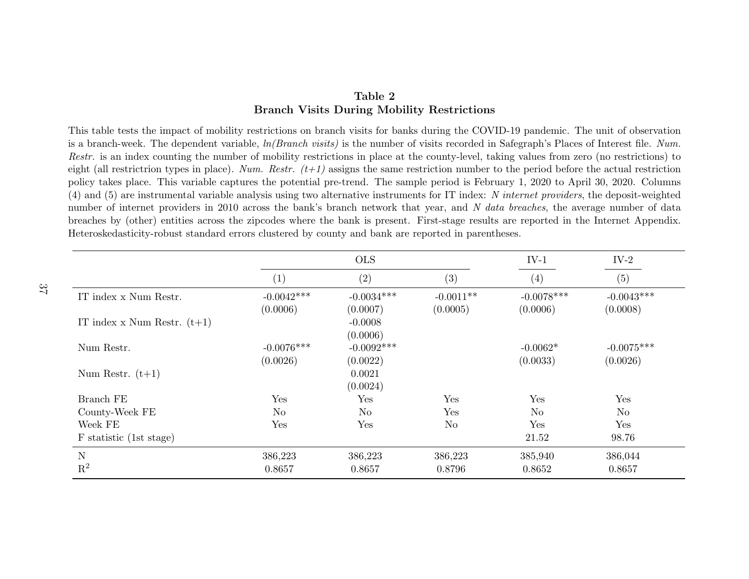## <span id="page-37-0"></span>Table 2Branch Visits During Mobility Restrictions

This table tests the impact of mobility restrictions on branch visits for banks during the COVID-19 pandemic. The unit of observationis a branch-week. The dependent variable,  $ln(Branch \text{ } visits)$  is the number of visits recorded in Safegraph's Places of Interest file. Num. Restr. is an index counting the number of mobility restrictions in place at the county-level, taking values from zero (no restrictions) to eight (all restrictrion types in place). Num. Restr.  $(t+1)$  assigns the same restriction number to the period before the actual restriction policy takes <sup>p</sup>lace. This variable captures the potential pre-trend. The sample period is February 1, 2020 to April 30, 2020. Columns(4) and (5) are instrumental variable analysis using two alternative instruments for IT index: N internet providers, the deposit-weighted number of internet providers in 2010 across the bank's branch network that year, and N data breaches, the average number of data breaches by (other) entities across the zipcodes where the bank is present. First-stage results are reported in the Internet Appendix.Heteroskedasticity-robust standard errors clustered by county and bank are reported in parentheses.

|                                 |                   | <b>OLS</b>     |                |                | $IV-2$         |
|---------------------------------|-------------------|----------------|----------------|----------------|----------------|
|                                 | $\left( 1\right)$ | (2)            | (3)            | (4)            | (5)            |
| IT index x Num Restr.           | $-0.0042***$      | $-0.0034***$   | $-0.0011**$    | $-0.0078***$   | $-0.0043***$   |
|                                 | (0.0006)          | (0.0007)       | (0.0005)       | (0.0006)       | (0.0008)       |
| IT index $x$ Num Restr. $(t+1)$ |                   | $-0.0008$      |                |                |                |
|                                 |                   | (0.0006)       |                |                |                |
| Num Restr.                      | $-0.0076***$      | $-0.0092***$   |                | $-0.0062*$     | $-0.0075***$   |
|                                 | (0.0026)          | (0.0022)       |                | (0.0033)       | (0.0026)       |
| Num Restr. $(t+1)$              |                   | 0.0021         |                |                |                |
|                                 |                   | (0.0024)       |                |                |                |
| Branch FE                       | Yes               | Yes            | Yes            | Yes            | Yes            |
| County-Week FE                  | N <sub>o</sub>    | N <sub>o</sub> | Yes            | N <sub>o</sub> | N <sub>o</sub> |
| Week FE                         | Yes               | Yes            | N <sub>o</sub> | Yes            | Yes            |
| F statistic (1st stage)         |                   |                |                | 21.52          | 98.76          |
| N                               | 386,223           | 386,223        | 386,223        | 385,940        | 386,044        |
| $\mathrm{R}^2$                  | 0.8657            | 0.8657         | 0.8796         | 0.8652         | 0.8657         |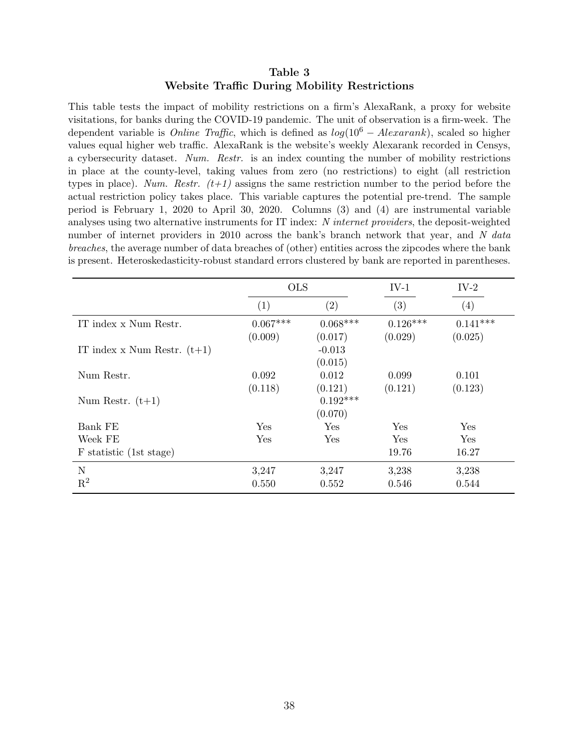## Table 3 Website Traffic During Mobility Restrictions

<span id="page-38-0"></span>This table tests the impact of mobility restrictions on a firm's AlexaRank, a proxy for website visitations, for banks during the COVID-19 pandemic. The unit of observation is a firm-week. The dependent variable is *Online Traffic*, which is defined as  $log(10^6 - Alexander)$ , scaled so higher values equal higher web traffic. AlexaRank is the website's weekly Alexarank recorded in Censys, a cybersecurity dataset. Num. Restr. is an index counting the number of mobility restrictions in place at the county-level, taking values from zero (no restrictions) to eight (all restriction types in place). Num. Restr.  $(t+1)$  assigns the same restriction number to the period before the actual restriction policy takes place. This variable captures the potential pre-trend. The sample period is February 1, 2020 to April 30, 2020. Columns (3) and (4) are instrumental variable analyses using two alternative instruments for IT index: N internet providers, the deposit-weighted number of internet providers in 2010 across the bank's branch network that year, and N data breaches, the average number of data breaches of (other) entities across the zipcodes where the bank is present. Heteroskedasticity-robust standard errors clustered by bank are reported in parentheses.

|                               | <b>OLS</b>            |                                  | $IV-1$                | $IV-2$                |
|-------------------------------|-----------------------|----------------------------------|-----------------------|-----------------------|
|                               | (1)                   | $\left( 2\right)$                | (3)                   | (4)                   |
| IT index x Num Restr.         | $0.067***$<br>(0.009) | $0.068***$<br>(0.017)            | $0.126***$<br>(0.029) | $0.141***$<br>(0.025) |
| IT index x Num Restr. $(t+1)$ |                       | $-0.013$<br>(0.015)              |                       |                       |
| Num Restr.                    | 0.092                 | 0.012                            | 0.099                 | 0.101                 |
| Num Restr. $(t+1)$            | (0.118)               | (0.121)<br>$0.192***$<br>(0.070) | (0.121)               | (0.123)               |
| Bank FE                       | Yes                   | Yes                              | Yes                   | Yes                   |
| Week FE                       | Yes                   | Yes                              | Yes                   | Yes                   |
| F statistic (1st stage)       |                       |                                  | 19.76                 | 16.27                 |
| N                             | 3,247                 | 3,247                            | 3,238                 | 3,238                 |
| $\mathbf{R}^2$                | 0.550                 | 0.552                            | 0.546                 | 0.544                 |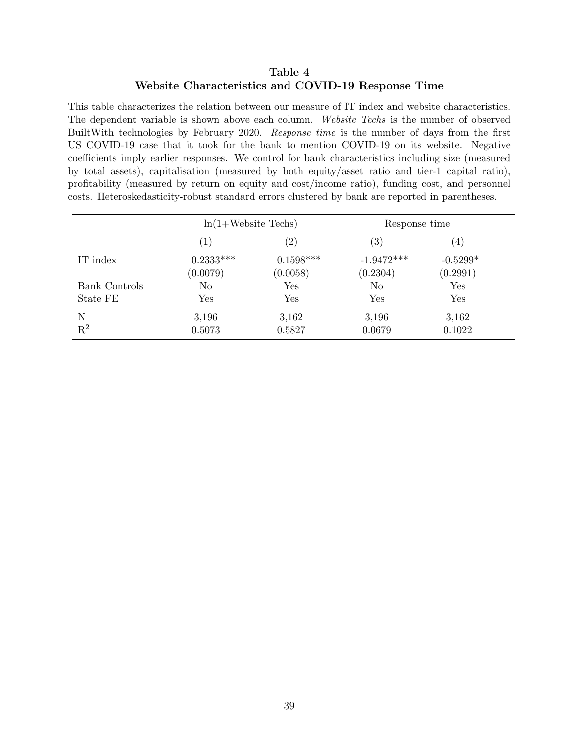## Table 4 Website Characteristics and COVID-19 Response Time

<span id="page-39-0"></span>This table characterizes the relation between our measure of IT index and website characteristics. The dependent variable is shown above each column. Website Techs is the number of observed BuiltWith technologies by February 2020. Response time is the number of days from the first US COVID-19 case that it took for the bank to mention COVID-19 on its website. Negative coefficients imply earlier responses. We control for bank characteristics including size (measured by total assets), capitalisation (measured by both equity/asset ratio and tier-1 capital ratio), profitability (measured by return on equity and cost/income ratio), funding cost, and personnel costs. Heteroskedasticity-robust standard errors clustered by bank are reported in parentheses.

|                      |                         | $ln(1+Website \text{ Techs})$ |                          | Response time          |
|----------------------|-------------------------|-------------------------------|--------------------------|------------------------|
|                      | $\left( 1\right)$       | $^{\prime}2)$                 | (3)                      | $\vert 4 \vert$        |
| IT index             | $0.2333***$<br>(0.0079) | $0.1598***$<br>(0.0058)       | $-1.9472***$<br>(0.2304) | $-0.5299*$<br>(0.2991) |
| <b>Bank Controls</b> | N <sub>o</sub>          | Yes                           | No                       | Yes                    |
| State FE             | Yes                     | $\operatorname{Yes}$          | Yes                      | Yes                    |
| N<br>$R^2$           | 3,196<br>0.5073         | 3,162<br>0.5827               | 3,196<br>0.0679          | 3,162<br>0.1022        |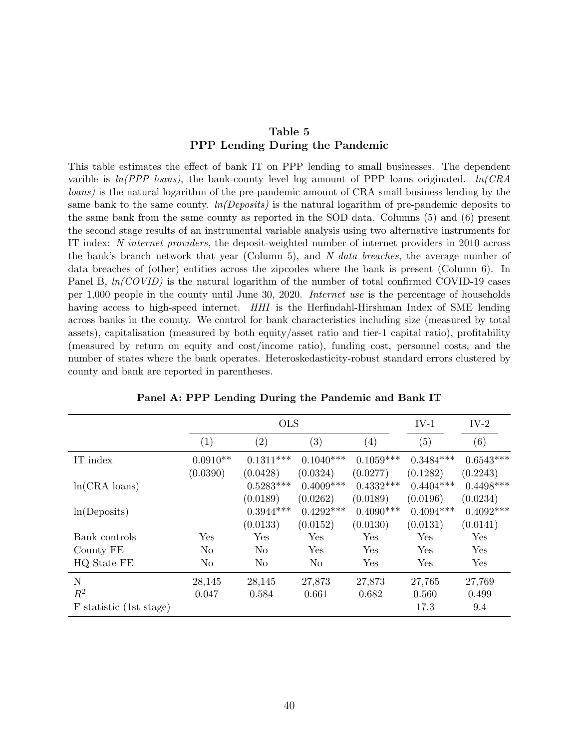## Table 5 PPP Lending During the Pandemic

<span id="page-40-0"></span>This table estimates the effect of bank IT on PPP lending to small businesses. The dependent varible is  $ln(PPP$  loans), the bank-county level log amount of PPP loans originated.  $ln(CRA)$ loans) is the natural logarithm of the pre-pandemic amount of CRA small business lending by the same bank to the same county.  $ln(Deposits)$  is the natural logarithm of pre-pandemic deposits to the same bank from the same county as reported in the SOD data. Columns (5) and (6) present the second stage results of an instrumental variable analysis using two alternative instruments for IT index: N internet providers, the deposit-weighted number of internet providers in 2010 across the bank's branch network that year (Column 5), and N data breaches, the average number of data breaches of (other) entities across the zipcodes where the bank is present (Column 6). In Panel B,  $ln(COVID)$  is the natural logarithm of the number of total confirmed COVID-19 cases per 1,000 people in the county until June 30, 2020. Internet use is the percentage of households having access to high-speed internet. HHI is the Herfindahl-Hirshman Index of SME lending across banks in the county. We control for bank characteristics including size (measured by total assets), capitalisation (measured by both equity/asset ratio and tier-1 capital ratio), profitability (measured by return on equity and cost/income ratio), funding cost, personnel costs, and the number of states where the bank operates. Heteroskedasticity-robust standard errors clustered by county and bank are reported in parentheses.

|                         |                   | <b>OLS</b>        |                   |                   |             | $IV-2$      |
|-------------------------|-------------------|-------------------|-------------------|-------------------|-------------|-------------|
|                         | $\left( 1\right)$ | $\left( 2\right)$ | $\left( 3\right)$ | $\left( 4\right)$ | (5)         | (6)         |
| IT index                | $0.0910**$        | $0.1311***$       | $0.1040***$       | $0.1059***$       | $0.3484***$ | $0.6543***$ |
|                         | (0.0390)          | (0.0428)          | (0.0324)          | (0.0277)          | (0.1282)    | (0.2243)    |
| $ln(CRA \cdot loans)$   |                   | $0.5283***$       | $0.4009***$       | $0.4332***$       | $0.4404***$ | $0.4498***$ |
|                         |                   | (0.0189)          | (0.0262)          | (0.0189)          | (0.0196)    | (0.0234)    |
| ln(Deposits)            |                   | $0.3944***$       | $0.4292***$       | $0.4090***$       | $0.4094***$ | $0.4092***$ |
|                         |                   | (0.0133)          | (0.0152)          | (0.0130)          | (0.0131)    | (0.0141)    |
| Bank controls           | Yes               | Yes               | Yes               | Yes               | Yes         | Yes         |
| County FE               | No                | No                | Yes               | Yes               | Yes         | Yes         |
| HQ State FE             | No                | N <sub>o</sub>    | No                | Yes               | Yes         | Yes         |
| N                       | 28,145            | 28,145            | 27,873            | 27,873            | 27,765      | 27,769      |
| $R^2$                   | 0.047             | 0.584             | 0.661             | 0.682             | 0.560       | 0.499       |
| F statistic (1st stage) |                   |                   |                   |                   | 17.3        | 9.4         |

Panel A: PPP Lending During the Pandemic and Bank IT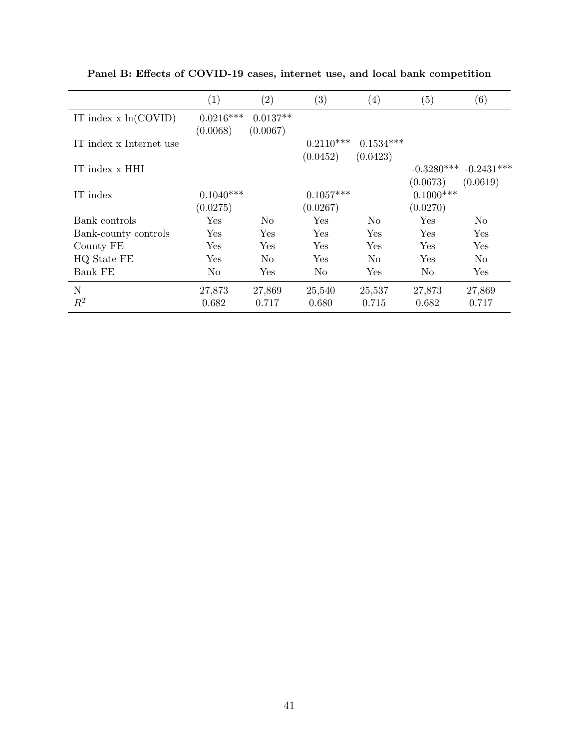|                         | (1)         | $\left( 2\right)$ | (3)                  | (4)         | (5)            | $\left( 6\right)$ |
|-------------------------|-------------|-------------------|----------------------|-------------|----------------|-------------------|
| IT index $x \ln(COVID)$ | $0.0216***$ | $0.0137**$        |                      |             |                |                   |
|                         | (0.0068)    | (0.0067)          |                      |             |                |                   |
| IT index x Internet use |             |                   | $0.2110***$          | $0.1534***$ |                |                   |
|                         |             |                   | (0.0452)             | (0.0423)    |                |                   |
| IT index x HHI          |             |                   |                      |             | $-0.3280***$   | $-0.2431***$      |
|                         |             |                   |                      |             | (0.0673)       | (0.0619)          |
| IT index                | $0.1040***$ |                   | $0.1057***$          |             | $0.1000***$    |                   |
|                         | (0.0275)    |                   | (0.0267)             |             | (0.0270)       |                   |
| Bank controls           | Yes         | No                | $\operatorname{Yes}$ | No.         | Yes            | N <sub>o</sub>    |
| Bank-county controls    | Yes         | Yes               | Yes                  | Yes         | Yes            | Yes               |
| County FE               | Yes         | Yes               | Yes                  | Yes         | Yes            | Yes               |
| HQ State FE             | Yes         | N <sub>0</sub>    | Yes                  | No          | Yes            | N <sub>o</sub>    |
| Bank FE                 | No          | Yes               | N <sub>o</sub>       | Yes         | N <sub>o</sub> | Yes               |
| N                       | 27,873      | 27,869            | 25,540               | 25,537      | 27,873         | 27,869            |
| $R^2$                   | 0.682       | 0.717             | 0.680                | 0.715       | 0.682          | 0.717             |

Panel B: Effects of COVID-19 cases, internet use, and local bank competition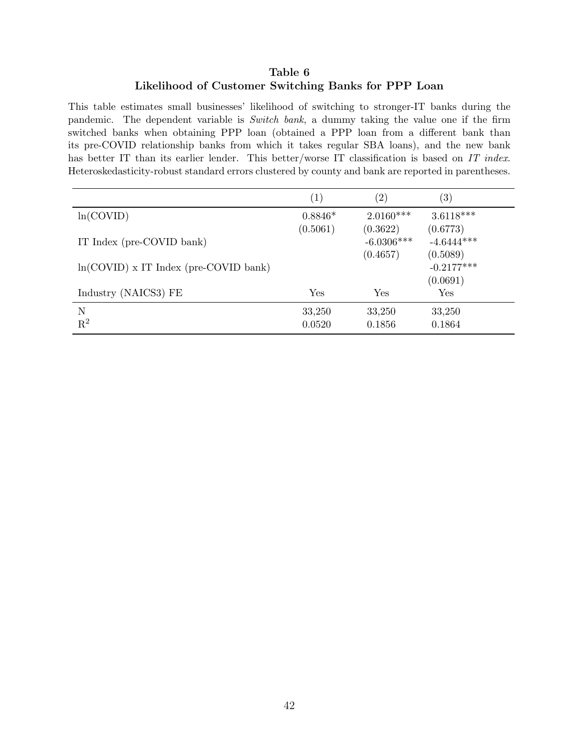## Table 6 Likelihood of Customer Switching Banks for PPP Loan

<span id="page-42-0"></span>This table estimates small businesses' likelihood of switching to stronger-IT banks during the pandemic. The dependent variable is Switch bank, a dummy taking the value one if the firm switched banks when obtaining PPP loan (obtained a PPP loan from a different bank than its pre-COVID relationship banks from which it takes regular SBA loans), and the new bank has better IT than its earlier lender. This better/worse IT classification is based on IT index. Heteroskedasticity-robust standard errors clustered by county and bank are reported in parentheses.

|                                         | (1)       | $\left( 2\right)$ | $\left( 3\right)$ |
|-----------------------------------------|-----------|-------------------|-------------------|
| ln(COVID)                               | $0.8846*$ | $2.0160***$       | $3.6118***$       |
|                                         | (0.5061)  | (0.3622)          | (0.6773)          |
| IT Index (pre-COVID bank)               |           | $-6.0306***$      | $-4.6444***$      |
|                                         |           | (0.4657)          | (0.5089)          |
| $ln(COVID)$ x IT Index (pre-COVID bank) |           |                   | $-0.2177***$      |
|                                         |           |                   | (0.0691)          |
| Industry (NAICS3) FE                    | Yes       | Yes               | Yes               |
| N                                       | 33,250    | 33,250            | 33,250            |
| $\mathrm{R}^2$                          | 0.0520    | 0.1856            | 0.1864            |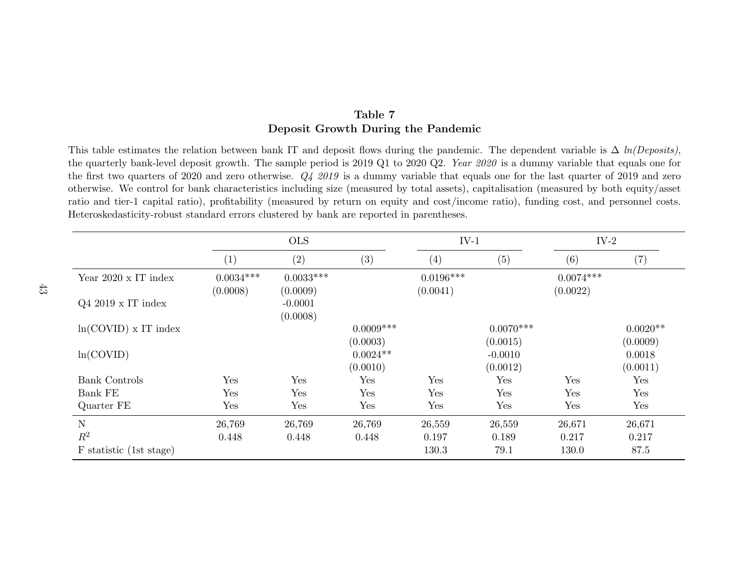## <span id="page-43-0"></span>Table 7Deposit Growth During the Pandemic

This table estimates the relation between bank IT and deposit flows during the pandemic. The dependent variable is  $\Delta ln(Deposits)$ , the quarterly bank-level deposit growth. The sample period is  $2019 \text{ Q}1$  to  $2020 \text{ Q}2$ . *Year*  $2020$  is a dummy variable that equals one for the first two quarters of 2020 and zero otherwise.  $Q_4$  2019 is a dummy variable that equals one for the last quarter of 2019 and zero otherwise. We control for bank characteristics including size (measured by total assets), capitalisation (measured by both equity/asset ratio and tier-1 capital ratio), profitability (measured by return on equity and cost/income ratio), funding cost, and personne<sup>l</sup> costs.Heteroskedasticity-robust standard errors clustered by bank are reported in parentheses.

|                             | <b>OLS</b>              |                         |                        | $IV-1$                  |                       | $IV-2$                  |                    |
|-----------------------------|-------------------------|-------------------------|------------------------|-------------------------|-----------------------|-------------------------|--------------------|
|                             | $\left( 1\right)$       | (2)                     | (3)                    | (4)                     | (5)                   | (6)                     | $\left( 7\right)$  |
| Year $2020 \times IT$ index | $0.0034***$<br>(0.0008) | $0.0033***$<br>(0.0009) |                        | $0.0196***$<br>(0.0041) |                       | $0.0074***$<br>(0.0022) |                    |
| $Q4\ 2019 \times IT$ index  |                         | $-0.0001$<br>(0.0008)   |                        |                         |                       |                         |                    |
| $ln(COVID)$ x IT index      |                         |                         | $0.0009***$            |                         | $0.0070***$           |                         | $0.0020**$         |
| ln(COVID)                   |                         |                         | (0.0003)<br>$0.0024**$ |                         | (0.0015)<br>$-0.0010$ |                         | (0.0009)<br>0.0018 |
|                             |                         |                         | (0.0010)               |                         | (0.0012)              |                         | (0.0011)           |
| <b>Bank Controls</b>        | Yes                     | Yes                     | Yes                    | Yes                     | Yes                   | Yes                     | Yes                |
| Bank FE                     | Yes                     | Yes                     | Yes                    | Yes                     | Yes                   | Yes                     | Yes                |
| Quarter FE                  | Yes                     | Yes                     | Yes                    | Yes                     | Yes                   | Yes                     | Yes                |
| N                           | 26,769                  | 26,769                  | 26,769                 | 26,559                  | 26,559                | 26,671                  | 26,671             |
| $R^2$                       | 0.448                   | 0.448                   | 0.448                  | 0.197                   | 0.189                 | 0.217                   | 0.217              |
| F statistic (1st stage)     |                         |                         |                        | 130.3                   | 79.1                  | 130.0                   | 87.5               |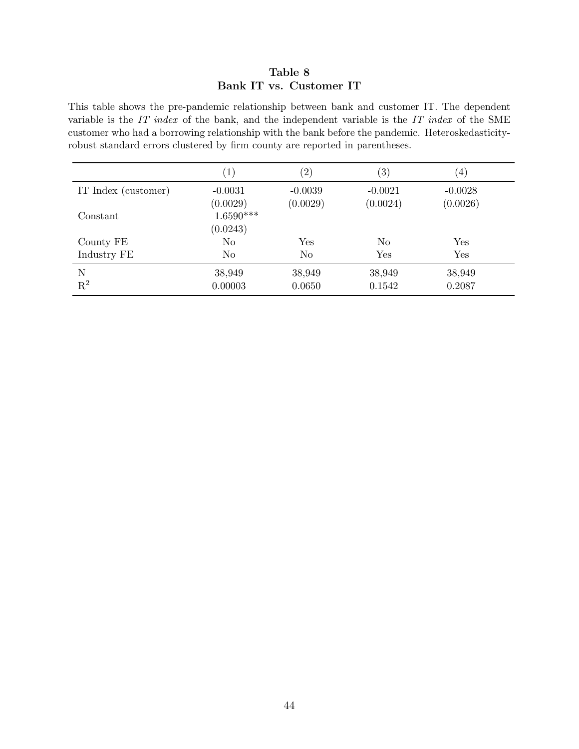## Table 8 Bank IT vs. Customer IT

<span id="page-44-0"></span>This table shows the pre-pandemic relationship between bank and customer IT. The dependent variable is the IT index of the bank, and the independent variable is the IT index of the SME customer who had a borrowing relationship with the bank before the pandemic. Heteroskedasticityrobust standard errors clustered by firm county are reported in parentheses.

|                     | $\left(1\right)$        | $\left( 2\right)$     | $\left( 3\right)$     | $\left( 4\right)$     |
|---------------------|-------------------------|-----------------------|-----------------------|-----------------------|
| IT Index (customer) | $-0.0031$<br>(0.0029)   | $-0.0039$<br>(0.0029) | $-0.0021$<br>(0.0024) | $-0.0028$<br>(0.0026) |
| Constant            | $1.6590***$<br>(0.0243) |                       |                       |                       |
| County FE           | N <sub>o</sub>          | Yes                   | No                    | Yes                   |
| Industry FE         | N <sub>o</sub>          | N <sub>o</sub>        | Yes                   | Yes                   |
| N<br>$\mathbf{R}^2$ | 38,949<br>0.00003       | 38,949<br>0.0650      | 38,949<br>0.1542      | 38,949<br>0.2087      |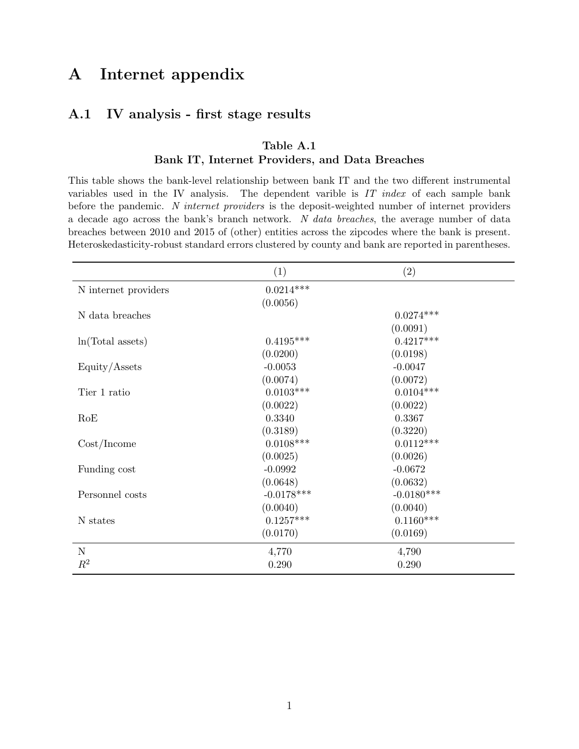## A Internet appendix

## <span id="page-45-0"></span>A.1 IV analysis - first stage results

## Table A.1 Bank IT, Internet Providers, and Data Breaches

This table shows the bank-level relationship between bank IT and the two different instrumental variables used in the IV analysis. The dependent varible is  $IT$  index of each sample bank before the pandemic. N internet providers is the deposit-weighted number of internet providers a decade ago across the bank's branch network. N data breaches, the average number of data breaches between 2010 and 2015 of (other) entities across the zipcodes where the bank is present. Heteroskedasticity-robust standard errors clustered by county and bank are reported in parentheses.

|                      | (1)          | (2)          |  |
|----------------------|--------------|--------------|--|
| N internet providers | $0.0214***$  |              |  |
|                      | (0.0056)     |              |  |
| N data breaches      |              | $0.0274***$  |  |
|                      |              | (0.0091)     |  |
| ln(Total assets)     | $0.4195***$  | $0.4217***$  |  |
|                      | (0.0200)     | (0.0198)     |  |
| Equity/Assets        | $-0.0053$    | $-0.0047$    |  |
|                      | (0.0074)     | (0.0072)     |  |
| Tier 1 ratio         | $0.0103***$  | $0.0104***$  |  |
|                      | (0.0022)     | (0.0022)     |  |
| RoE                  | 0.3340       | 0.3367       |  |
|                      | (0.3189)     | (0.3220)     |  |
| Cost/Income          | $0.0108***$  | $0.0112***$  |  |
|                      | (0.0025)     | (0.0026)     |  |
| Funding cost         | $-0.0992$    | $-0.0672$    |  |
|                      | (0.0648)     | (0.0632)     |  |
| Personnel costs      | $-0.0178***$ | $-0.0180***$ |  |
|                      | (0.0040)     | (0.0040)     |  |
| N states             | $0.1257***$  | $0.1160***$  |  |
|                      | (0.0170)     | (0.0169)     |  |
| $\mathbf N$          | 4,770        | 4,790        |  |
| $R^2$                | 0.290        | 0.290        |  |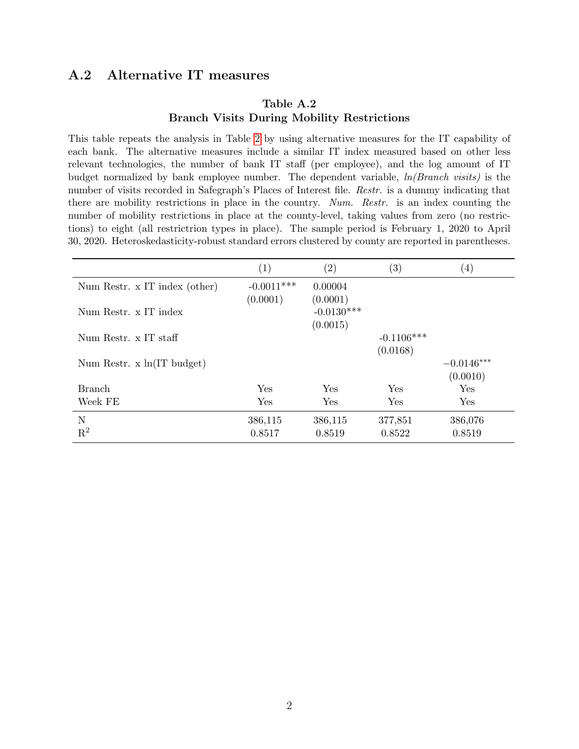## <span id="page-46-0"></span>A.2 Alternative IT measures

## Table A.2 Branch Visits During Mobility Restrictions

This table repeats the analysis in Table [2](#page-37-0) by using alternative measures for the IT capability of each bank. The alternative measures include a similar IT index measured based on other less relevant technologies, the number of bank IT staff (per employee), and the log amount of IT budget normalized by bank employee number. The dependent variable,  $ln(Branch \text{ } visits)$  is the number of visits recorded in Safegraph's Places of Interest file. *Restr.* is a dummy indicating that there are mobility restrictions in place in the country. Num. Restr. is an index counting the number of mobility restrictions in place at the county-level, taking values from zero (no restrictions) to eight (all restrictrion types in place). The sample period is February 1, 2020 to April 30, 2020. Heteroskedasticity-robust standard errors clustered by county are reported in parentheses.

|                                      | $\left( 1\right)$ | $\left( 2\right)$        | $\left( 3\right)$ | $\left( 4\right)$ |
|--------------------------------------|-------------------|--------------------------|-------------------|-------------------|
| Num Restr. x IT index (other)        | $-0.0011***$      | 0.00004                  |                   |                   |
| Num Restr. x IT index                | (0.0001)          | (0.0001)<br>$-0.0130***$ |                   |                   |
|                                      |                   | (0.0015)                 |                   |                   |
| Num Restr. x IT staff                |                   |                          | $-0.1106***$      |                   |
|                                      |                   |                          | (0.0168)          |                   |
| Num Restr. $x \ln(\text{IT budget})$ |                   |                          |                   | $-0.0146***$      |
|                                      |                   |                          |                   | (0.0010)          |
| <b>Branch</b>                        | Yes               | Yes                      | <b>Yes</b>        | Yes               |
| Week FE                              | Yes               | Yes                      | Yes               | Yes               |
| N                                    | 386,115           | 386,115                  | 377,851           | 386,076           |
| $\mathbf{R}^2$                       | 0.8517            | 0.8519                   | 0.8522            | 0.8519            |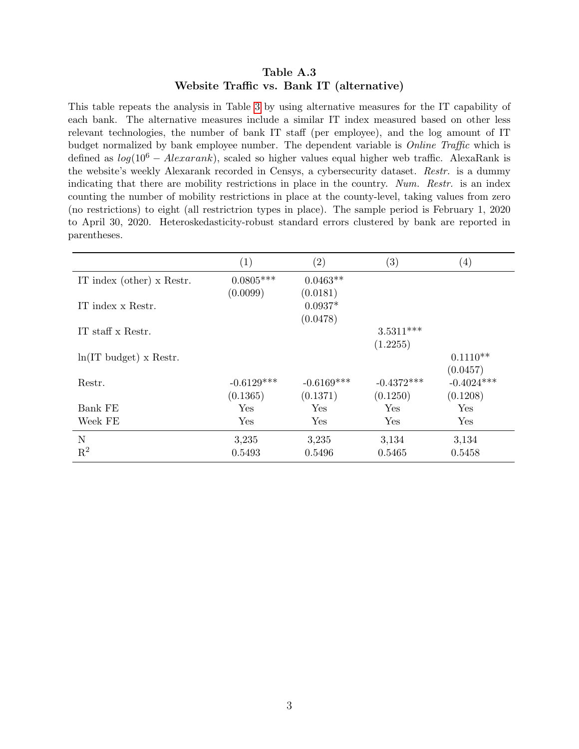#### Table A.3 Website Traffic vs. Bank IT (alternative)

This table repeats the analysis in Table [3](#page-38-0) by using alternative measures for the IT capability of each bank. The alternative measures include a similar IT index measured based on other less relevant technologies, the number of bank IT staff (per employee), and the log amount of IT budget normalized by bank employee number. The dependent variable is Online Traffic which is defined as  $log(10^6 - Alexand)$ , scaled so higher values equal higher web traffic. AlexaRank is the website's weekly Alexarank recorded in Censys, a cybersecurity dataset. Restr. is a dummy indicating that there are mobility restrictions in place in the country. Num. Restr. is an index counting the number of mobility restrictions in place at the county-level, taking values from zero (no restrictions) to eight (all restrictrion types in place). The sample period is February 1, 2020 to April 30, 2020. Heteroskedasticity-robust standard errors clustered by bank are reported in parentheses.

|                           | (1)          | $\left( 2\right)$ | (3)          | $\left( 4\right)$ |
|---------------------------|--------------|-------------------|--------------|-------------------|
| IT index (other) x Restr. | $0.0805***$  | $0.0463**$        |              |                   |
|                           | (0.0099)     | (0.0181)          |              |                   |
| IT index x Restr.         |              | $0.0937*$         |              |                   |
|                           |              | (0.0478)          |              |                   |
| IT staff x Restr.         |              |                   | $3.5311***$  |                   |
|                           |              |                   | (1.2255)     |                   |
| $ln(IT$ budget) x Restr.  |              |                   |              | $0.1110**$        |
|                           |              |                   |              | (0.0457)          |
| Restr.                    | $-0.6129***$ | $-0.6169***$      | $-0.4372***$ | $-0.4024***$      |
|                           | (0.1365)     | (0.1371)          | (0.1250)     | (0.1208)          |
| Bank FE                   | Yes          | Yes               | Yes          | Yes               |
| Week FE                   | Yes          | Yes               | Yes          | Yes               |
| N                         | 3,235        | 3,235             | 3,134        | 3,134             |
| $\mathbf{R}^2$            | 0.5493       | 0.5496            | 0.5465       | 0.5458            |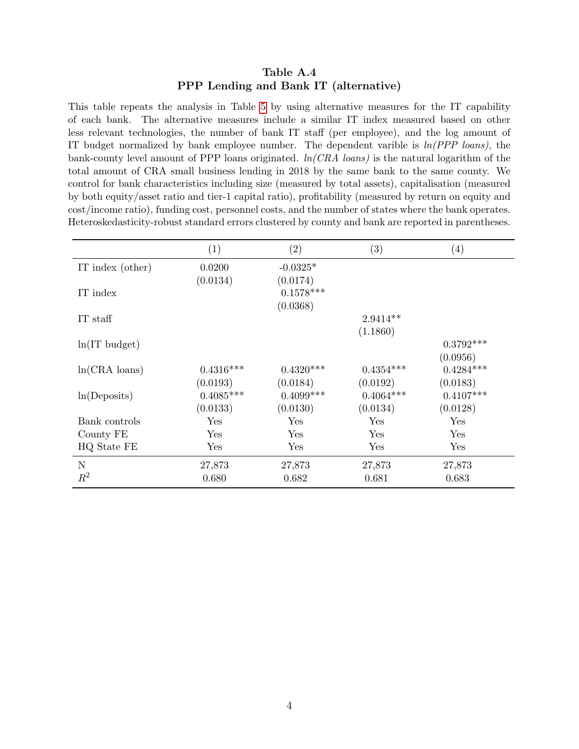#### Table A.4 PPP Lending and Bank IT (alternative)

This table repeats the analysis in Table [5](#page-40-0) by using alternative measures for the IT capability of each bank. The alternative measures include a similar IT index measured based on other less relevant technologies, the number of bank IT staff (per employee), and the log amount of IT budget normalized by bank employee number. The dependent varible is  $ln(PPP$  loans), the bank-county level amount of PPP loans originated.  $ln(CRA \text{ loans})$  is the natural logarithm of the total amount of CRA small business lending in 2018 by the same bank to the same county. We control for bank characteristics including size (measured by total assets), capitalisation (measured by both equity/asset ratio and tier-1 capital ratio), profitability (measured by return on equity and cost/income ratio), funding cost, personnel costs, and the number of states where the bank operates. Heteroskedasticity-robust standard errors clustered by county and bank are reported in parentheses.

|                       | (1)                  | (2)                     | (3)         | $\left(4\right)$ |
|-----------------------|----------------------|-------------------------|-------------|------------------|
| IT index (other)      | 0.0200               | $-0.0325*$              |             |                  |
|                       | (0.0134)             | (0.0174)                |             |                  |
| IT index              |                      | $0.1578^{\ast\ast\ast}$ |             |                  |
|                       |                      | (0.0368)                |             |                  |
| IT staff              |                      |                         | $2.9414**$  |                  |
|                       |                      |                         | (1.1860)    |                  |
| $ln(IT$ budget)       |                      |                         |             | $0.3792***$      |
|                       |                      |                         |             | (0.0956)         |
| $ln(CRA \cdot loans)$ | $0.4316***$          | $0.4320***$             | $0.4354***$ | $0.4284***$      |
|                       | (0.0193)             | (0.0184)                | (0.0192)    | (0.0183)         |
| ln(Deposits)          | $0.4085***$          | $0.4099***$             | $0.4064***$ | $0.4107***$      |
|                       | (0.0133)             | (0.0130)                | (0.0134)    | (0.0128)         |
| Bank controls         | $\operatorname{Yes}$ | Yes                     | Yes         | Yes              |
| County FE             | $\operatorname{Yes}$ | Yes                     | Yes         | Yes              |
| HQ State FE           | $\operatorname{Yes}$ | Yes                     | Yes         | Yes              |
| $\mathbf N$           | 27,873               | 27,873                  | 27,873      | 27,873           |
| $R^2$                 | 0.680                | 0.682                   | 0.681       | 0.683            |